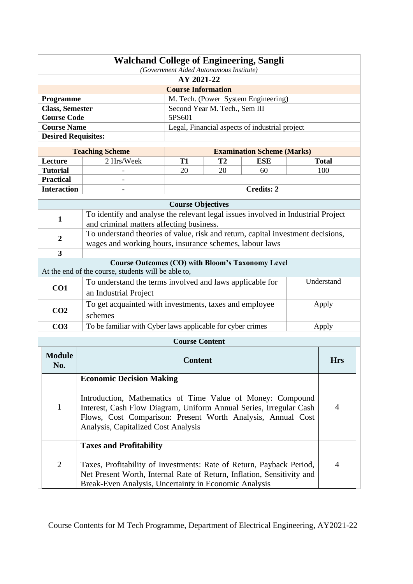| <b>Walchand College of Engineering, Sangli</b><br>(Government Aided Autonomous Institute)                      |                                                                                                                                   |                          |                               |                                                |  |                |  |  |
|----------------------------------------------------------------------------------------------------------------|-----------------------------------------------------------------------------------------------------------------------------------|--------------------------|-------------------------------|------------------------------------------------|--|----------------|--|--|
| AY 2021-22                                                                                                     |                                                                                                                                   |                          |                               |                                                |  |                |  |  |
| <b>Course Information</b>                                                                                      |                                                                                                                                   |                          |                               |                                                |  |                |  |  |
|                                                                                                                | M. Tech. (Power System Engineering)<br>Programme                                                                                  |                          |                               |                                                |  |                |  |  |
| <b>Class, Semester</b>                                                                                         |                                                                                                                                   |                          | Second Year M. Tech., Sem III |                                                |  |                |  |  |
| <b>Course Code</b>                                                                                             |                                                                                                                                   | 5PS601                   |                               |                                                |  |                |  |  |
| <b>Course Name</b>                                                                                             |                                                                                                                                   |                          |                               | Legal, Financial aspects of industrial project |  |                |  |  |
| <b>Desired Requisites:</b>                                                                                     |                                                                                                                                   |                          |                               |                                                |  |                |  |  |
|                                                                                                                | <b>Teaching Scheme</b>                                                                                                            |                          |                               | <b>Examination Scheme (Marks)</b>              |  |                |  |  |
| Lecture                                                                                                        | 2 Hrs/Week                                                                                                                        | T1                       | T <sub>2</sub>                | <b>ESE</b>                                     |  | <b>Total</b>   |  |  |
| <b>Tutorial</b>                                                                                                |                                                                                                                                   | 20                       | 20                            | 60                                             |  | 100            |  |  |
| <b>Practical</b>                                                                                               |                                                                                                                                   |                          |                               |                                                |  |                |  |  |
| <b>Interaction</b>                                                                                             |                                                                                                                                   |                          |                               | <b>Credits: 2</b>                              |  |                |  |  |
|                                                                                                                |                                                                                                                                   |                          |                               |                                                |  |                |  |  |
|                                                                                                                |                                                                                                                                   | <b>Course Objectives</b> |                               |                                                |  |                |  |  |
| $\mathbf{1}$                                                                                                   | To identify and analyse the relevant legal issues involved in Industrial Project                                                  |                          |                               |                                                |  |                |  |  |
|                                                                                                                | and criminal matters affecting business.                                                                                          |                          |                               |                                                |  |                |  |  |
| $\overline{2}$                                                                                                 | To understand theories of value, risk and return, capital investment decisions,                                                   |                          |                               |                                                |  |                |  |  |
| $\overline{\mathbf{3}}$                                                                                        | wages and working hours, insurance schemes, labour laws                                                                           |                          |                               |                                                |  |                |  |  |
|                                                                                                                |                                                                                                                                   |                          |                               |                                                |  |                |  |  |
| <b>Course Outcomes (CO) with Bloom's Taxonomy Level</b><br>At the end of the course, students will be able to, |                                                                                                                                   |                          |                               |                                                |  |                |  |  |
| To understand the terms involved and laws applicable for                                                       |                                                                                                                                   |                          | Understand                    |                                                |  |                |  |  |
| CO1                                                                                                            | an Industrial Project                                                                                                             |                          |                               |                                                |  |                |  |  |
|                                                                                                                | To get acquainted with investments, taxes and employee                                                                            |                          |                               |                                                |  | Apply          |  |  |
| CO <sub>2</sub>                                                                                                | schemes                                                                                                                           |                          |                               |                                                |  |                |  |  |
| CO <sub>3</sub>                                                                                                | To be familiar with Cyber laws applicable for cyber crimes                                                                        |                          |                               |                                                |  | Apply          |  |  |
|                                                                                                                |                                                                                                                                   |                          |                               |                                                |  |                |  |  |
|                                                                                                                |                                                                                                                                   | <b>Course Content</b>    |                               |                                                |  |                |  |  |
| <b>Module</b>                                                                                                  |                                                                                                                                   |                          |                               |                                                |  |                |  |  |
| No.                                                                                                            |                                                                                                                                   | <b>Content</b>           |                               |                                                |  | <b>Hrs</b>     |  |  |
|                                                                                                                | <b>Economic Decision Making</b>                                                                                                   |                          |                               |                                                |  |                |  |  |
|                                                                                                                |                                                                                                                                   |                          |                               |                                                |  |                |  |  |
|                                                                                                                | Introduction, Mathematics of Time Value of Money: Compound                                                                        |                          |                               |                                                |  |                |  |  |
| $\mathbf{1}$                                                                                                   |                                                                                                                                   |                          |                               |                                                |  | 4              |  |  |
|                                                                                                                | Interest, Cash Flow Diagram, Uniform Annual Series, Irregular Cash<br>Flows, Cost Comparison: Present Worth Analysis, Annual Cost |                          |                               |                                                |  |                |  |  |
| Analysis, Capitalized Cost Analysis                                                                            |                                                                                                                                   |                          |                               |                                                |  |                |  |  |
|                                                                                                                |                                                                                                                                   |                          |                               |                                                |  |                |  |  |
|                                                                                                                | <b>Taxes and Profitability</b>                                                                                                    |                          |                               |                                                |  |                |  |  |
|                                                                                                                |                                                                                                                                   |                          |                               |                                                |  |                |  |  |
| $\overline{2}$                                                                                                 | Taxes, Profitability of Investments: Rate of Return, Payback Period,                                                              |                          |                               |                                                |  | $\overline{4}$ |  |  |
|                                                                                                                | Net Present Worth, Internal Rate of Return, Inflation, Sensitivity and                                                            |                          |                               |                                                |  |                |  |  |
|                                                                                                                | Break-Even Analysis, Uncertainty in Economic Analysis                                                                             |                          |                               |                                                |  |                |  |  |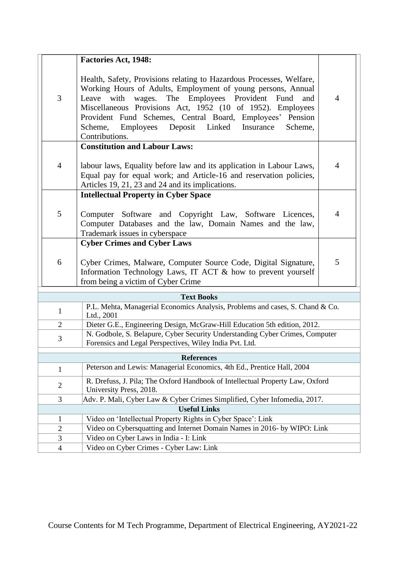|                | <b>Factories Act, 1948:</b>                                                                                                                                                                                                                                                                                                                                                                                        |                |  |  |
|----------------|--------------------------------------------------------------------------------------------------------------------------------------------------------------------------------------------------------------------------------------------------------------------------------------------------------------------------------------------------------------------------------------------------------------------|----------------|--|--|
| 3              | Health, Safety, Provisions relating to Hazardous Processes, Welfare,<br>Working Hours of Adults, Employment of young persons, Annual<br>wages. The Employees Provident<br>Leave with<br>Fund<br>and<br>Miscellaneous Provisions Act, 1952 (10 of 1952). Employees<br>Provident Fund Schemes, Central Board, Employees' Pension<br>Deposit Linked<br>Scheme,<br>Employees<br>Insurance<br>Scheme.<br>Contributions. | 4              |  |  |
| $\overline{4}$ | <b>Constitution and Labour Laws:</b><br>labour laws, Equality before law and its application in Labour Laws,<br>Equal pay for equal work; and Article-16 and reservation policies,<br>Articles 19, 21, 23 and 24 and its implications.                                                                                                                                                                             | $\overline{4}$ |  |  |
| 5              | <b>Intellectual Property in Cyber Space</b><br>Computer Software and Copyright Law, Software Licences,<br>Computer Databases and the law, Domain Names and the law,<br>Trademark issues in cyberspace                                                                                                                                                                                                              | 4              |  |  |
| 6              | <b>Cyber Crimes and Cyber Laws</b><br>Cyber Crimes, Malware, Computer Source Code, Digital Signature,<br>Information Technology Laws, IT ACT & how to prevent yourself<br>from being a victim of Cyber Crime                                                                                                                                                                                                       | 5              |  |  |
|                | <b>Text Books</b>                                                                                                                                                                                                                                                                                                                                                                                                  |                |  |  |
| $\mathbf{1}$   | P.L. Mehta, Managerial Economics Analysis, Problems and cases, S. Chand & Co.<br>Ltd., 2001                                                                                                                                                                                                                                                                                                                        |                |  |  |
| $\overline{2}$ | Dieter G.E., Engineering Design, McGraw-Hill Education 5th edition, 2012.                                                                                                                                                                                                                                                                                                                                          |                |  |  |
| 3              | N. Godbole, S. Belapure, Cyber Security Understanding Cyber Crimes, Computer<br>Forensics and Legal Perspectives, Wiley India Pvt. Ltd.                                                                                                                                                                                                                                                                            |                |  |  |
|                | <b>References</b>                                                                                                                                                                                                                                                                                                                                                                                                  |                |  |  |
| $\mathbf{1}$   | Peterson and Lewis: Managerial Economics, 4th Ed., Prentice Hall, 2004                                                                                                                                                                                                                                                                                                                                             |                |  |  |
| $\sqrt{2}$     | R. Drefuss, J. Pila; The Oxford Handbook of Intellectual Property Law, Oxford<br>University Press, 2018.                                                                                                                                                                                                                                                                                                           |                |  |  |
| 3              | Adv. P. Mali, Cyber Law & Cyber Crimes Simplified, Cyber Infomedia, 2017.                                                                                                                                                                                                                                                                                                                                          |                |  |  |
|                | <b>Useful Links</b>                                                                                                                                                                                                                                                                                                                                                                                                |                |  |  |
| 1              | Video on 'Intellectual Property Rights in Cyber Space': Link                                                                                                                                                                                                                                                                                                                                                       |                |  |  |
| $\overline{2}$ | Video on Cybersquatting and Internet Domain Names in 2016- by WIPO: Link                                                                                                                                                                                                                                                                                                                                           |                |  |  |
| 3              | Video on Cyber Laws in India - I: Link                                                                                                                                                                                                                                                                                                                                                                             |                |  |  |
| $\overline{4}$ | Video on Cyber Crimes - Cyber Law: Link                                                                                                                                                                                                                                                                                                                                                                            |                |  |  |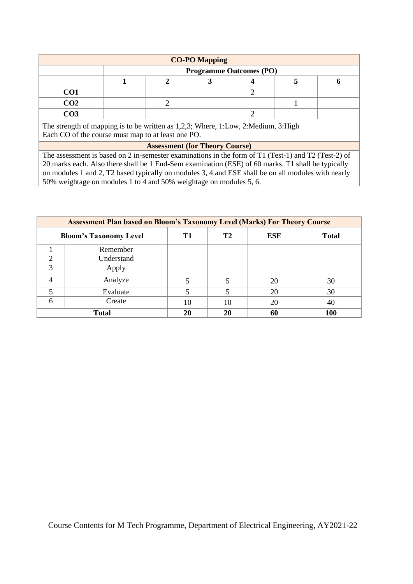| <b>CO-PO Mapping</b> |  |                                |  |  |  |  |  |  |
|----------------------|--|--------------------------------|--|--|--|--|--|--|
|                      |  | <b>Programme Outcomes (PO)</b> |  |  |  |  |  |  |
|                      |  |                                |  |  |  |  |  |  |
| CO <sub>1</sub>      |  |                                |  |  |  |  |  |  |
| CO <sub>2</sub>      |  |                                |  |  |  |  |  |  |
| CO3                  |  |                                |  |  |  |  |  |  |

The strength of mapping is to be written as 1,2,3; Where, 1:Low, 2:Medium, 3:High Each CO of the course must map to at least one PO.

### **Assessment (for Theory Course)**

The assessment is based on 2 in-semester examinations in the form of T1 (Test-1) and T2 (Test-2) of 20 marks each. Also there shall be 1 End-Sem examination (ESE) of 60 marks. T1 shall be typically on modules 1 and 2, T2 based typically on modules 3, 4 and ESE shall be on all modules with nearly 50% weightage on modules 1 to 4 and 50% weightage on modules 5, 6.

| <b>Assessment Plan based on Bloom's Taxonomy Level (Marks) For Theory Course</b> |                               |    |                |            |              |  |  |  |  |
|----------------------------------------------------------------------------------|-------------------------------|----|----------------|------------|--------------|--|--|--|--|
|                                                                                  | <b>Bloom's Taxonomy Level</b> | T1 | T <sub>2</sub> | <b>ESE</b> | <b>Total</b> |  |  |  |  |
|                                                                                  | Remember                      |    |                |            |              |  |  |  |  |
| ◠                                                                                | Understand                    |    |                |            |              |  |  |  |  |
| 3                                                                                | Apply                         |    |                |            |              |  |  |  |  |
|                                                                                  | Analyze                       | 5  |                | 20         | 30           |  |  |  |  |
|                                                                                  | Evaluate                      |    |                | 20         | 30           |  |  |  |  |
| 6                                                                                | Create                        | 10 | 10             | 20         | 40           |  |  |  |  |
|                                                                                  | <b>Total</b>                  | 20 | 20             | 60         | 100          |  |  |  |  |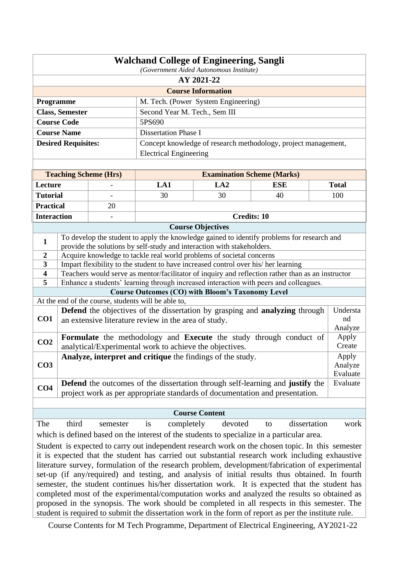| <b>Walchand College of Engineering, Sangli</b><br>(Government Aided Autonomous Institute)        |                                                                                                                                                                                                   |                              |                                                                        |                                     |                                                                                                                                                                                                  |              |  |  |
|--------------------------------------------------------------------------------------------------|---------------------------------------------------------------------------------------------------------------------------------------------------------------------------------------------------|------------------------------|------------------------------------------------------------------------|-------------------------------------|--------------------------------------------------------------------------------------------------------------------------------------------------------------------------------------------------|--------------|--|--|
|                                                                                                  | AY 2021-22                                                                                                                                                                                        |                              |                                                                        |                                     |                                                                                                                                                                                                  |              |  |  |
|                                                                                                  |                                                                                                                                                                                                   |                              |                                                                        | <b>Course Information</b>           |                                                                                                                                                                                                  |              |  |  |
| Programme                                                                                        |                                                                                                                                                                                                   |                              |                                                                        | M. Tech. (Power System Engineering) |                                                                                                                                                                                                  |              |  |  |
|                                                                                                  | <b>Class, Semester</b>                                                                                                                                                                            |                              | Second Year M. Tech., Sem III                                          |                                     |                                                                                                                                                                                                  |              |  |  |
|                                                                                                  | <b>Course Code</b>                                                                                                                                                                                |                              | 5PS690                                                                 |                                     |                                                                                                                                                                                                  |              |  |  |
|                                                                                                  | <b>Course Name</b>                                                                                                                                                                                |                              | <b>Dissertation Phase I</b>                                            |                                     |                                                                                                                                                                                                  |              |  |  |
|                                                                                                  | <b>Desired Requisites:</b>                                                                                                                                                                        |                              |                                                                        |                                     | Concept knowledge of research methodology, project management,                                                                                                                                   |              |  |  |
|                                                                                                  |                                                                                                                                                                                                   |                              | <b>Electrical Engineering</b>                                          |                                     |                                                                                                                                                                                                  |              |  |  |
|                                                                                                  |                                                                                                                                                                                                   |                              |                                                                        |                                     |                                                                                                                                                                                                  |              |  |  |
|                                                                                                  |                                                                                                                                                                                                   | <b>Teaching Scheme (Hrs)</b> |                                                                        | <b>Examination Scheme (Marks)</b>   |                                                                                                                                                                                                  |              |  |  |
| Lecture                                                                                          |                                                                                                                                                                                                   |                              | LA1                                                                    | LA2                                 | <b>ESE</b>                                                                                                                                                                                       | <b>Total</b> |  |  |
| <b>Tutorial</b>                                                                                  |                                                                                                                                                                                                   |                              | 30                                                                     | 30                                  | 40                                                                                                                                                                                               | 100          |  |  |
| <b>Practical</b>                                                                                 |                                                                                                                                                                                                   | 20                           |                                                                        |                                     |                                                                                                                                                                                                  |              |  |  |
| <b>Interaction</b>                                                                               |                                                                                                                                                                                                   |                              |                                                                        | <b>Credits: 10</b>                  |                                                                                                                                                                                                  |              |  |  |
|                                                                                                  |                                                                                                                                                                                                   |                              |                                                                        | <b>Course Objectives</b>            |                                                                                                                                                                                                  |              |  |  |
|                                                                                                  |                                                                                                                                                                                                   |                              |                                                                        |                                     | To develop the student to apply the knowledge gained to identify problems for research and                                                                                                       |              |  |  |
| $\mathbf{1}$                                                                                     |                                                                                                                                                                                                   |                              | provide the solutions by self-study and interaction with stakeholders. |                                     |                                                                                                                                                                                                  |              |  |  |
| 2                                                                                                |                                                                                                                                                                                                   |                              | Acquire knowledge to tackle real world problems of societal concerns   |                                     |                                                                                                                                                                                                  |              |  |  |
| 3                                                                                                | Impart flexibility to the student to have increased control over his/her learning                                                                                                                 |                              |                                                                        |                                     |                                                                                                                                                                                                  |              |  |  |
| $\overline{\mathbf{4}}$                                                                          |                                                                                                                                                                                                   |                              |                                                                        |                                     | Teachers would serve as mentor/facilitator of inquiry and reflection rather than as an instructor                                                                                                |              |  |  |
| 5                                                                                                |                                                                                                                                                                                                   |                              |                                                                        |                                     | Enhance a students' learning through increased interaction with peers and colleagues.                                                                                                            |              |  |  |
|                                                                                                  |                                                                                                                                                                                                   |                              | <b>Course Outcomes (CO) with Bloom's Taxonomy Level</b>                |                                     |                                                                                                                                                                                                  |              |  |  |
|                                                                                                  |                                                                                                                                                                                                   |                              | At the end of the course, students will be able to,                    |                                     | <b>Defend</b> the objectives of the dissertation by grasping and <b>analyzing</b> through                                                                                                        | Understa     |  |  |
| CO1                                                                                              |                                                                                                                                                                                                   |                              | an extensive literature review in the area of study.                   |                                     |                                                                                                                                                                                                  | nd           |  |  |
|                                                                                                  |                                                                                                                                                                                                   |                              |                                                                        |                                     |                                                                                                                                                                                                  | Analyze      |  |  |
|                                                                                                  |                                                                                                                                                                                                   |                              |                                                                        |                                     | Formulate the methodology and Execute the study through conduct of                                                                                                                               | Apply        |  |  |
| CO <sub>2</sub>                                                                                  |                                                                                                                                                                                                   |                              | analytical/Experimental work to achieve the objectives.                |                                     |                                                                                                                                                                                                  | Create       |  |  |
|                                                                                                  |                                                                                                                                                                                                   |                              | Analyze, interpret and critique the findings of the study.             |                                     |                                                                                                                                                                                                  | Apply        |  |  |
| CO <sub>3</sub>                                                                                  |                                                                                                                                                                                                   |                              |                                                                        |                                     |                                                                                                                                                                                                  | Analyze      |  |  |
|                                                                                                  |                                                                                                                                                                                                   |                              |                                                                        |                                     |                                                                                                                                                                                                  | Evaluate     |  |  |
| CO <sub>4</sub>                                                                                  |                                                                                                                                                                                                   |                              |                                                                        |                                     | <b>Defend</b> the outcomes of the dissertation through self-learning and justify the                                                                                                             | Evaluate     |  |  |
|                                                                                                  |                                                                                                                                                                                                   |                              |                                                                        |                                     | project work as per appropriate standards of documentation and presentation.                                                                                                                     |              |  |  |
|                                                                                                  |                                                                                                                                                                                                   |                              |                                                                        |                                     |                                                                                                                                                                                                  |              |  |  |
| <b>Course Content</b><br>dissertation                                                            |                                                                                                                                                                                                   |                              |                                                                        |                                     |                                                                                                                                                                                                  |              |  |  |
| The                                                                                              | third                                                                                                                                                                                             | semester                     | is<br>completely                                                       | devoted                             | to                                                                                                                                                                                               | work         |  |  |
| which is defined based on the interest of the students to specialize in a particular area.       |                                                                                                                                                                                                   |                              |                                                                        |                                     |                                                                                                                                                                                                  |              |  |  |
| Student is expected to carry out independent research work on the chosen topic. In this semester |                                                                                                                                                                                                   |                              |                                                                        |                                     |                                                                                                                                                                                                  |              |  |  |
|                                                                                                  | it is expected that the student has carried out substantial research work including exhaustive<br>literature survey, formulation of the research problem, development/fabrication of experimental |                              |                                                                        |                                     |                                                                                                                                                                                                  |              |  |  |
|                                                                                                  |                                                                                                                                                                                                   |                              |                                                                        |                                     |                                                                                                                                                                                                  |              |  |  |
|                                                                                                  |                                                                                                                                                                                                   |                              |                                                                        |                                     | set-up (if any/required) and testing, and analysis of initial results thus obtained. In fourth<br>semester, the student continues his/her dissertation work. It is expected that the student has |              |  |  |
|                                                                                                  |                                                                                                                                                                                                   |                              |                                                                        |                                     |                                                                                                                                                                                                  |              |  |  |

proposed in the synopsis. The work should be completed in all respects in this semester. The student is required to submit the dissertation work in the form of report as per the institute rule.

completed most of the experimental/computation works and analyzed the results so obtained as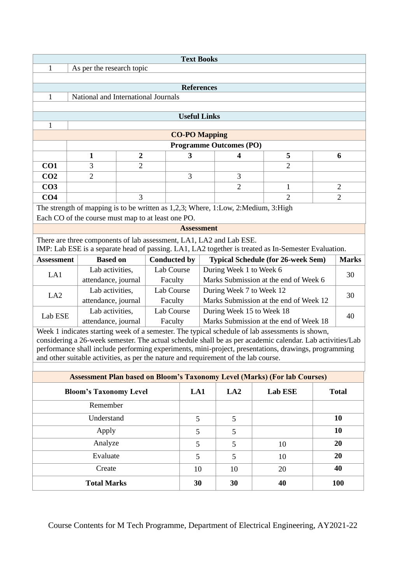|                           | <b>Text Books</b>                                                                                                                                                          |                                                    |                  |                     |                     |                                       |                                                                                     |  |                                                                                                                                                                                                              |  |                |
|---------------------------|----------------------------------------------------------------------------------------------------------------------------------------------------------------------------|----------------------------------------------------|------------------|---------------------|---------------------|---------------------------------------|-------------------------------------------------------------------------------------|--|--------------------------------------------------------------------------------------------------------------------------------------------------------------------------------------------------------------|--|----------------|
| 1                         |                                                                                                                                                                            | As per the research topic                          |                  |                     |                     |                                       |                                                                                     |  |                                                                                                                                                                                                              |  |                |
| <b>References</b>         |                                                                                                                                                                            |                                                    |                  |                     |                     |                                       |                                                                                     |  |                                                                                                                                                                                                              |  |                |
| 1                         | National and International Journals                                                                                                                                        |                                                    |                  |                     |                     |                                       |                                                                                     |  |                                                                                                                                                                                                              |  |                |
|                           |                                                                                                                                                                            |                                                    |                  |                     |                     |                                       |                                                                                     |  |                                                                                                                                                                                                              |  |                |
|                           |                                                                                                                                                                            |                                                    |                  |                     | <b>Useful Links</b> |                                       |                                                                                     |  |                                                                                                                                                                                                              |  |                |
| 1<br><b>CO-PO Mapping</b> |                                                                                                                                                                            |                                                    |                  |                     |                     |                                       |                                                                                     |  |                                                                                                                                                                                                              |  |                |
|                           |                                                                                                                                                                            |                                                    |                  |                     |                     |                                       | <b>Programme Outcomes (PO)</b>                                                      |  |                                                                                                                                                                                                              |  |                |
|                           |                                                                                                                                                                            | 1                                                  | $\boldsymbol{2}$ |                     | 3                   |                                       | $\overline{\mathbf{4}}$                                                             |  | 5                                                                                                                                                                                                            |  | 6              |
| CO <sub>1</sub>           |                                                                                                                                                                            | 3                                                  | $\overline{2}$   |                     |                     |                                       |                                                                                     |  | $\overline{2}$                                                                                                                                                                                               |  |                |
| CO <sub>2</sub>           |                                                                                                                                                                            | $\overline{2}$                                     |                  |                     | 3                   |                                       | 3                                                                                   |  |                                                                                                                                                                                                              |  |                |
| CO <sub>3</sub>           |                                                                                                                                                                            |                                                    |                  |                     |                     |                                       | $\overline{2}$                                                                      |  | $\mathbf{1}$                                                                                                                                                                                                 |  | $\overline{2}$ |
| CO <sub>4</sub>           |                                                                                                                                                                            |                                                    | 3                |                     |                     |                                       |                                                                                     |  | $\overline{2}$                                                                                                                                                                                               |  | $\overline{2}$ |
|                           |                                                                                                                                                                            | Each CO of the course must map to at least one PO. |                  |                     |                     |                                       | The strength of mapping is to be written as 1,2,3; Where, 1:Low, 2:Medium, 3:High   |  |                                                                                                                                                                                                              |  |                |
|                           |                                                                                                                                                                            |                                                    |                  |                     | <b>Assessment</b>   |                                       |                                                                                     |  |                                                                                                                                                                                                              |  |                |
|                           | There are three components of lab assessment, LA1, LA2 and Lab ESE.<br>IMP: Lab ESE is a separate head of passing. LA1, LA2 together is treated as In-Semester Evaluation. |                                                    |                  |                     |                     |                                       |                                                                                     |  |                                                                                                                                                                                                              |  |                |
| <b>Assessment</b>         |                                                                                                                                                                            | <b>Based on</b>                                    |                  | <b>Conducted by</b> |                     |                                       |                                                                                     |  | <b>Typical Schedule (for 26-week Sem)</b>                                                                                                                                                                    |  | <b>Marks</b>   |
| LA1                       |                                                                                                                                                                            | Lab activities,                                    |                  | Lab Course          |                     |                                       | During Week 1 to Week 6                                                             |  |                                                                                                                                                                                                              |  | 30             |
|                           |                                                                                                                                                                            | attendance, journal                                |                  | Faculty             |                     | Marks Submission at the end of Week 6 |                                                                                     |  |                                                                                                                                                                                                              |  |                |
| LA <sub>2</sub>           |                                                                                                                                                                            | Lab activities,                                    |                  | Lab Course          |                     |                                       | During Week 7 to Week 12                                                            |  |                                                                                                                                                                                                              |  | 30             |
|                           |                                                                                                                                                                            | attendance, journal                                |                  | Faculty             |                     |                                       |                                                                                     |  | Marks Submission at the end of Week 12                                                                                                                                                                       |  |                |
| Lab ESE                   |                                                                                                                                                                            | Lab activities,                                    |                  | Lab Course          |                     |                                       | During Week 15 to Week 18                                                           |  |                                                                                                                                                                                                              |  | 40             |
|                           |                                                                                                                                                                            | attendance, journal                                |                  | Faculty             |                     |                                       |                                                                                     |  | Marks Submission at the end of Week 18                                                                                                                                                                       |  |                |
|                           |                                                                                                                                                                            |                                                    |                  |                     |                     |                                       |                                                                                     |  | Week 1 indicates starting week of a semester. The typical schedule of lab assessments is shown,<br>considering a 26-week semester. The actual schedule shall be as per academic calendar. Lab activities/Lab |  |                |
|                           |                                                                                                                                                                            |                                                    |                  |                     |                     |                                       |                                                                                     |  | performance shall include performing experiments, mini-project, presentations, drawings, programming                                                                                                         |  |                |
|                           |                                                                                                                                                                            |                                                    |                  |                     |                     |                                       | and other suitable activities, as per the nature and requirement of the lab course. |  |                                                                                                                                                                                                              |  |                |
|                           |                                                                                                                                                                            |                                                    |                  |                     |                     |                                       |                                                                                     |  | <b>Assessment Plan based on Bloom's Taxonomy Level (Marks) (For lab Courses)</b>                                                                                                                             |  |                |
|                           |                                                                                                                                                                            | <b>Bloom's Taxonomy Level</b>                      |                  |                     | LA1                 |                                       | LA2                                                                                 |  | Lab ESE                                                                                                                                                                                                      |  | <b>Total</b>   |
|                           |                                                                                                                                                                            | Remember                                           |                  |                     |                     |                                       |                                                                                     |  |                                                                                                                                                                                                              |  |                |
|                           |                                                                                                                                                                            |                                                    |                  |                     |                     |                                       |                                                                                     |  |                                                                                                                                                                                                              |  |                |
| Understand                |                                                                                                                                                                            |                                                    | $\overline{5}$   |                     | 5                   |                                       |                                                                                     |  | 10                                                                                                                                                                                                           |  |                |
| Apply                     |                                                                                                                                                                            |                                                    | 5                |                     | 5                   |                                       |                                                                                     |  | 10                                                                                                                                                                                                           |  |                |
| Analyze                   |                                                                                                                                                                            |                                                    | $5\overline{)}$  |                     | 5                   |                                       | 10                                                                                  |  | 20                                                                                                                                                                                                           |  |                |
|                           |                                                                                                                                                                            | Evaluate                                           |                  |                     | 5                   |                                       | 5                                                                                   |  | 10                                                                                                                                                                                                           |  | 20             |
|                           |                                                                                                                                                                            | Create                                             |                  |                     | 10                  |                                       | 10                                                                                  |  | 20                                                                                                                                                                                                           |  | 40             |
|                           |                                                                                                                                                                            | <b>Total Marks</b>                                 |                  |                     | 30                  |                                       | 30                                                                                  |  | 40                                                                                                                                                                                                           |  | <b>100</b>     |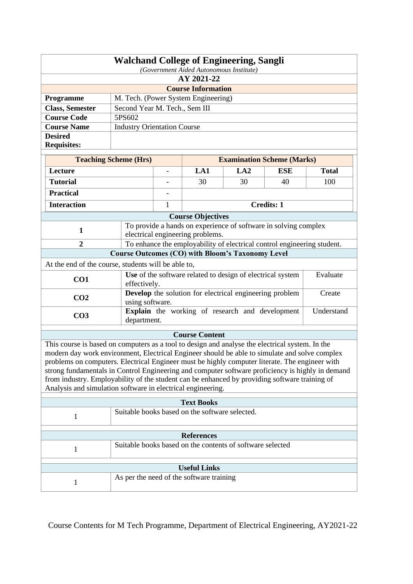| <b>Walchand College of Engineering, Sangli</b> |                                         |  |  |  |  |
|------------------------------------------------|-----------------------------------------|--|--|--|--|
|                                                | (Government Aided Autonomous Institute) |  |  |  |  |
| AY 2021-22                                     |                                         |  |  |  |  |
| <b>Course Information</b>                      |                                         |  |  |  |  |
| <b>Programme</b>                               | M. Tech. (Power System Engineering)     |  |  |  |  |
| <b>Class, Semester</b>                         | Second Year M. Tech., Sem III           |  |  |  |  |
| <b>Course Code</b>                             | 5PS602                                  |  |  |  |  |
| <b>Course Name</b>                             | <b>Industry Orientation Course</b>      |  |  |  |  |
| <b>Desired</b>                                 |                                         |  |  |  |  |
| <b>Requisites:</b>                             |                                         |  |  |  |  |
|                                                |                                         |  |  |  |  |

| <b>Teaching Scheme (Hrs)</b>                        |                                                                          |                                                                        | <b>Examination Scheme (Marks)</b>                       |                   |              |     |  |
|-----------------------------------------------------|--------------------------------------------------------------------------|------------------------------------------------------------------------|---------------------------------------------------------|-------------------|--------------|-----|--|
| LA1<br>LA2<br><b>ESE</b><br>Lecture                 |                                                                          |                                                                        |                                                         |                   | <b>Total</b> |     |  |
| <b>Tutorial</b>                                     |                                                                          |                                                                        | 30                                                      | 30                | 40           | 100 |  |
| <b>Practical</b>                                    |                                                                          |                                                                        |                                                         |                   |              |     |  |
| <b>Interaction</b>                                  | 1                                                                        |                                                                        |                                                         | <b>Credits: 1</b> |              |     |  |
| <b>Course Objectives</b>                            |                                                                          |                                                                        |                                                         |                   |              |     |  |
| 1                                                   |                                                                          | To provide a hands on experience of software in solving complex        |                                                         |                   |              |     |  |
| electrical engineering problems.                    |                                                                          |                                                                        |                                                         |                   |              |     |  |
| $\overline{2}$                                      | To enhance the employability of electrical control engineering student.  |                                                                        |                                                         |                   |              |     |  |
|                                                     |                                                                          |                                                                        | <b>Course Outcomes (CO) with Bloom's Taxonomy Level</b> |                   |              |     |  |
| At the end of the course, students will be able to, |                                                                          |                                                                        |                                                         |                   |              |     |  |
| CO <sub>1</sub>                                     |                                                                          | Evaluate<br>Use of the software related to design of electrical system |                                                         |                   |              |     |  |
|                                                     | effectively.                                                             |                                                                        |                                                         |                   |              |     |  |
| CO <sub>2</sub>                                     | <b>Develop</b> the solution for electrical engineering problem<br>Create |                                                                        |                                                         |                   |              |     |  |
|                                                     | using software.                                                          |                                                                        |                                                         |                   |              |     |  |
| CO <sub>3</sub>                                     | <b>Explain</b> the working of research and development<br>Understand     |                                                                        |                                                         |                   |              |     |  |
|                                                     | department.                                                              |                                                                        |                                                         |                   |              |     |  |

# **Course Content**

This course is based on computers as a tool to design and analyse the electrical system. In the modern day work environment, Electrical Engineer should be able to simulate and solve complex problems on computers. Electrical Engineer must be highly computer literate. The engineer with strong fundamentals in Control Engineering and computer software proficiency is highly in demand from industry. Employability of the student can be enhanced by providing software training of Analysis and simulation software in electrical engineering.

| <b>Text Books</b>   |                                                           |  |  |  |  |  |
|---------------------|-----------------------------------------------------------|--|--|--|--|--|
|                     | Suitable books based on the software selected.            |  |  |  |  |  |
| <b>References</b>   |                                                           |  |  |  |  |  |
|                     | Suitable books based on the contents of software selected |  |  |  |  |  |
|                     |                                                           |  |  |  |  |  |
| <b>Useful Links</b> |                                                           |  |  |  |  |  |
|                     | As per the need of the software training                  |  |  |  |  |  |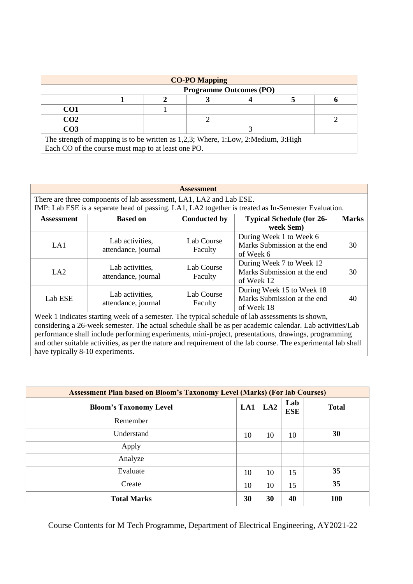| <b>CO-PO Mapping</b>                                                              |  |                                |  |  |  |  |  |  |  |
|-----------------------------------------------------------------------------------|--|--------------------------------|--|--|--|--|--|--|--|
|                                                                                   |  | <b>Programme Outcomes (PO)</b> |  |  |  |  |  |  |  |
|                                                                                   |  |                                |  |  |  |  |  |  |  |
| CO <sub>1</sub>                                                                   |  |                                |  |  |  |  |  |  |  |
| CO <sub>2</sub>                                                                   |  |                                |  |  |  |  |  |  |  |
| CO <sub>3</sub>                                                                   |  |                                |  |  |  |  |  |  |  |
| The strength of mapping is to be written as 1,2,3; Where, 1:Low, 2:Medium, 3:High |  |                                |  |  |  |  |  |  |  |

Each CO of the course must map to at least one PO.

#### **Assessment**

There are three components of lab assessment, LA1, LA2 and Lab ESE. IMP: Lab ESE is a separate head of passing. LA1, LA2 together is treated as In-Semester Evaluation.

| <b>Assessment</b> | <b>Based on</b>                        | <b>Conducted by</b>   | <b>Typical Schedule (for 26-</b><br>week Sem)                          | <b>Marks</b> |
|-------------------|----------------------------------------|-----------------------|------------------------------------------------------------------------|--------------|
| LA1               | Lab activities,<br>attendance, journal | Lab Course<br>Faculty | During Week 1 to Week 6<br>Marks Submission at the end<br>of Week 6    | 30           |
| LA <sub>2</sub>   | Lab activities,<br>attendance, journal | Lab Course<br>Faculty | During Week 7 to Week 12<br>Marks Submission at the end<br>of Week 12  | 30           |
| Lab ESE           | Lab activities,<br>attendance, journal | Lab Course<br>Faculty | During Week 15 to Week 18<br>Marks Submission at the end<br>of Week 18 | 40           |
|                   |                                        |                       |                                                                        |              |

Week 1 indicates starting week of a semester. The typical schedule of lab assessments is shown, considering a 26-week semester. The actual schedule shall be as per academic calendar. Lab activities/Lab performance shall include performing experiments, mini-project, presentations, drawings, programming and other suitable activities, as per the nature and requirement of the lab course. The experimental lab shall have typically 8-10 experiments.

| <b>Assessment Plan based on Bloom's Taxonomy Level (Marks) (For lab Courses)</b> |     |     |                   |              |  |  |  |  |
|----------------------------------------------------------------------------------|-----|-----|-------------------|--------------|--|--|--|--|
| <b>Bloom's Taxonomy Level</b>                                                    | LA1 | LA2 | Lab<br><b>ESE</b> | <b>Total</b> |  |  |  |  |
| Remember                                                                         |     |     |                   |              |  |  |  |  |
| Understand                                                                       | 10  | 10  | 10                | 30           |  |  |  |  |
| Apply                                                                            |     |     |                   |              |  |  |  |  |
| Analyze                                                                          |     |     |                   |              |  |  |  |  |
| Evaluate                                                                         | 10  | 10  | 15                | 35           |  |  |  |  |
| Create                                                                           | 10  | 10  | 15                | 35           |  |  |  |  |
| <b>Total Marks</b>                                                               | 30  | 30  | 40                | 100          |  |  |  |  |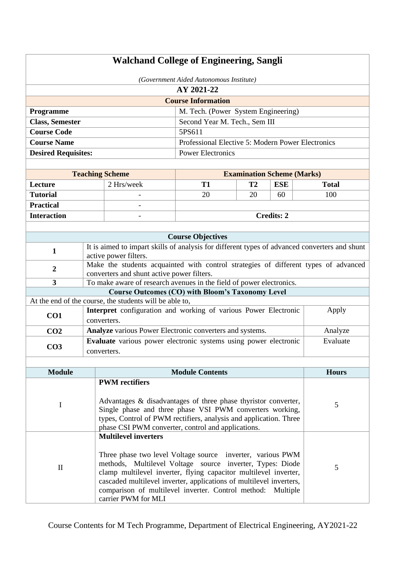| <b>Walchand College of Engineering, Sangli</b> |             |                                                                                                                                                                                                                                                       |                                                                                                                                                                                                                                                                                                                                   |                                   |                   |              |  |
|------------------------------------------------|-------------|-------------------------------------------------------------------------------------------------------------------------------------------------------------------------------------------------------------------------------------------------------|-----------------------------------------------------------------------------------------------------------------------------------------------------------------------------------------------------------------------------------------------------------------------------------------------------------------------------------|-----------------------------------|-------------------|--------------|--|
|                                                |             |                                                                                                                                                                                                                                                       | (Government Aided Autonomous Institute)                                                                                                                                                                                                                                                                                           |                                   |                   |              |  |
|                                                |             |                                                                                                                                                                                                                                                       | AY 2021-22                                                                                                                                                                                                                                                                                                                        |                                   |                   |              |  |
|                                                |             |                                                                                                                                                                                                                                                       | <b>Course Information</b>                                                                                                                                                                                                                                                                                                         |                                   |                   |              |  |
| Programme                                      |             |                                                                                                                                                                                                                                                       | M. Tech. (Power System Engineering)                                                                                                                                                                                                                                                                                               |                                   |                   |              |  |
| <b>Class, Semester</b>                         |             |                                                                                                                                                                                                                                                       | Second Year M. Tech., Sem III                                                                                                                                                                                                                                                                                                     |                                   |                   |              |  |
| <b>Course Code</b>                             |             |                                                                                                                                                                                                                                                       | 5PS611                                                                                                                                                                                                                                                                                                                            |                                   |                   |              |  |
| <b>Course Name</b>                             |             |                                                                                                                                                                                                                                                       | Professional Elective 5: Modern Power Electronics                                                                                                                                                                                                                                                                                 |                                   |                   |              |  |
| <b>Desired Requisites:</b>                     |             |                                                                                                                                                                                                                                                       | <b>Power Electronics</b>                                                                                                                                                                                                                                                                                                          |                                   |                   |              |  |
|                                                |             |                                                                                                                                                                                                                                                       |                                                                                                                                                                                                                                                                                                                                   |                                   |                   |              |  |
|                                                |             | <b>Teaching Scheme</b>                                                                                                                                                                                                                                |                                                                                                                                                                                                                                                                                                                                   | <b>Examination Scheme (Marks)</b> |                   |              |  |
| Lecture                                        |             | 2 Hrs/week                                                                                                                                                                                                                                            | <b>T1</b>                                                                                                                                                                                                                                                                                                                         | T2                                | <b>ESE</b>        | <b>Total</b> |  |
| <b>Tutorial</b>                                |             |                                                                                                                                                                                                                                                       | 20                                                                                                                                                                                                                                                                                                                                | 20                                | 60                | 100          |  |
| <b>Practical</b>                               |             |                                                                                                                                                                                                                                                       |                                                                                                                                                                                                                                                                                                                                   |                                   |                   |              |  |
| <b>Interaction</b>                             |             |                                                                                                                                                                                                                                                       |                                                                                                                                                                                                                                                                                                                                   |                                   | <b>Credits: 2</b> |              |  |
|                                                |             |                                                                                                                                                                                                                                                       |                                                                                                                                                                                                                                                                                                                                   |                                   |                   |              |  |
|                                                |             |                                                                                                                                                                                                                                                       | <b>Course Objectives</b>                                                                                                                                                                                                                                                                                                          |                                   |                   |              |  |
| $\mathbf{1}$                                   |             | It is aimed to impart skills of analysis for different types of advanced converters and shunt<br>active power filters.                                                                                                                                |                                                                                                                                                                                                                                                                                                                                   |                                   |                   |              |  |
| $\boldsymbol{2}$                               |             | Make the students acquainted with control strategies of different types of advanced                                                                                                                                                                   |                                                                                                                                                                                                                                                                                                                                   |                                   |                   |              |  |
|                                                |             | converters and shunt active power filters.                                                                                                                                                                                                            |                                                                                                                                                                                                                                                                                                                                   |                                   |                   |              |  |
| 3                                              |             | To make aware of research avenues in the field of power electronics.                                                                                                                                                                                  |                                                                                                                                                                                                                                                                                                                                   |                                   |                   |              |  |
|                                                |             | <b>Course Outcomes (CO) with Bloom's Taxonomy Level</b><br>At the end of the course, the students will be able to,                                                                                                                                    |                                                                                                                                                                                                                                                                                                                                   |                                   |                   |              |  |
|                                                |             |                                                                                                                                                                                                                                                       |                                                                                                                                                                                                                                                                                                                                   |                                   |                   | Apply        |  |
| CO1                                            | converters. |                                                                                                                                                                                                                                                       | Interpret configuration and working of various Power Electronic                                                                                                                                                                                                                                                                   |                                   |                   |              |  |
| CO <sub>2</sub>                                |             | Analyze various Power Electronic converters and systems.                                                                                                                                                                                              |                                                                                                                                                                                                                                                                                                                                   |                                   |                   | Analyze      |  |
|                                                |             | Evaluate various power electronic systems using power electronic                                                                                                                                                                                      |                                                                                                                                                                                                                                                                                                                                   |                                   |                   | Evaluate     |  |
| CO <sub>3</sub>                                | converters. |                                                                                                                                                                                                                                                       |                                                                                                                                                                                                                                                                                                                                   |                                   |                   |              |  |
|                                                |             |                                                                                                                                                                                                                                                       |                                                                                                                                                                                                                                                                                                                                   |                                   |                   |              |  |
| <b>Module</b>                                  |             |                                                                                                                                                                                                                                                       | <b>Module Contents</b>                                                                                                                                                                                                                                                                                                            |                                   |                   | <b>Hours</b> |  |
|                                                |             | <b>PWM</b> rectifiers                                                                                                                                                                                                                                 |                                                                                                                                                                                                                                                                                                                                   |                                   |                   |              |  |
| $\bf{I}$                                       |             | Advantages & disadvantages of three phase thyristor converter,<br>Single phase and three phase VSI PWM converters working,<br>types, Control of PWM rectifiers, analysis and application. Three<br>phase CSI PWM converter, control and applications. |                                                                                                                                                                                                                                                                                                                                   | 5                                 |                   |              |  |
| $\mathbf{I}$                                   |             | <b>Multilevel inverters</b><br>carrier PWM for MLI                                                                                                                                                                                                    | Three phase two level Voltage source inverter, various PWM<br>methods, Multilevel Voltage source inverter, Types: Diode<br>clamp multilevel inverter, flying capacitor multilevel inverter,<br>cascaded multilevel inverter, applications of multilevel inverters,<br>comparison of multilevel inverter. Control method: Multiple |                                   |                   | 5            |  |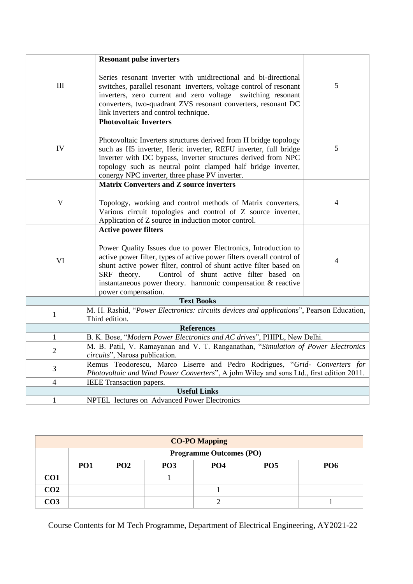|                | <b>Resonant pulse inverters</b>                                                                                                                                                                                                                                                                                                                                |                |
|----------------|----------------------------------------------------------------------------------------------------------------------------------------------------------------------------------------------------------------------------------------------------------------------------------------------------------------------------------------------------------------|----------------|
| III            | Series resonant inverter with unidirectional and bi-directional<br>switches, parallel resonant inverters, voltage control of resonant<br>inverters, zero current and zero voltage switching resonant<br>converters, two-quadrant ZVS resonant converters, resonant DC<br>link inverters and control technique.                                                 | 5              |
|                | <b>Photovoltaic Inverters</b>                                                                                                                                                                                                                                                                                                                                  |                |
| IV             | Photovoltaic Inverters structures derived from H bridge topology<br>such as H5 inverter, Heric inverter, REFU inverter, full bridge<br>inverter with DC bypass, inverter structures derived from NPC<br>topology such as neutral point clamped half bridge inverter,<br>conergy NPC inverter, three phase PV inverter.                                         | 5              |
|                | <b>Matrix Converters and Z source inverters</b>                                                                                                                                                                                                                                                                                                                |                |
| $\mathbf{V}$   | Topology, working and control methods of Matrix converters,<br>Various circuit topologies and control of Z source inverter,<br>Application of Z source in induction motor control.                                                                                                                                                                             | $\overline{4}$ |
|                | <b>Active power filters</b>                                                                                                                                                                                                                                                                                                                                    |                |
| VI             | Power Quality Issues due to power Electronics, Introduction to<br>active power filter, types of active power filters overall control of<br>shunt active power filter, control of shunt active filter based on<br>SRF theory.<br>Control of shunt active filter based on<br>instantaneous power theory. harmonic compensation & reactive<br>power compensation. | 4              |
|                | <b>Text Books</b>                                                                                                                                                                                                                                                                                                                                              |                |
| $\mathbf{1}$   | M. H. Rashid, "Power Electronics: circuits devices and applications", Pearson Education,<br>Third edition.                                                                                                                                                                                                                                                     |                |
|                | <b>References</b>                                                                                                                                                                                                                                                                                                                                              |                |
| $\mathbf{1}$   | B. K. Bose, "Modern Power Electronics and AC drives", PHIPL, New Delhi.                                                                                                                                                                                                                                                                                        |                |
| $\overline{2}$ | M. B. Patil, V. Ramayanan and V. T. Ranganathan, "Simulation of Power Electronics<br>circuits", Narosa publication.                                                                                                                                                                                                                                            |                |
| 3              | Remus Teodorescu, Marco Liserre and Pedro Rodrigues, "Grid- Converters for<br>Photovoltaic and Wind Power Converters", A john Wiley and sons Ltd., first edition 2011.                                                                                                                                                                                         |                |
| $\overline{4}$ | IEEE Transaction papers.                                                                                                                                                                                                                                                                                                                                       |                |
|                | <b>Useful Links</b>                                                                                                                                                                                                                                                                                                                                            |                |
| $\mathbf{1}$   | NPTEL lectures on Advanced Power Electronics                                                                                                                                                                                                                                                                                                                   |                |

| <b>CO-PO Mapping</b> |            |                                |                 |                 |                 |            |  |  |  |  |  |
|----------------------|------------|--------------------------------|-----------------|-----------------|-----------------|------------|--|--|--|--|--|
|                      |            | <b>Programme Outcomes (PO)</b> |                 |                 |                 |            |  |  |  |  |  |
|                      | <b>PO1</b> | <b>PO2</b>                     | PO <sub>3</sub> | PO <sub>4</sub> | PO <sub>5</sub> | <b>PO6</b> |  |  |  |  |  |
| CO <sub>1</sub>      |            |                                |                 |                 |                 |            |  |  |  |  |  |
| CO <sub>2</sub>      |            |                                |                 |                 |                 |            |  |  |  |  |  |
| CO <sub>3</sub>      |            |                                |                 |                 |                 |            |  |  |  |  |  |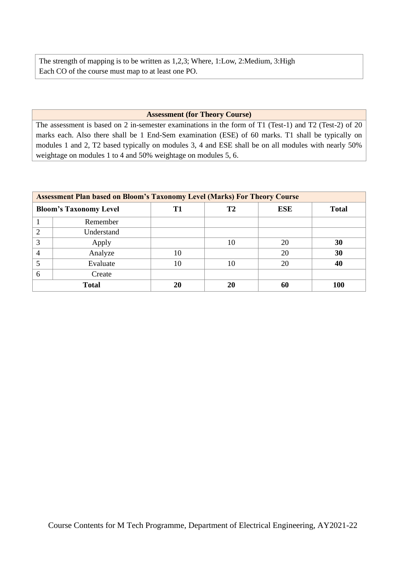The strength of mapping is to be written as 1,2,3; Where, 1:Low, 2:Medium, 3:High Each CO of the course must map to at least one PO.

## **Assessment (for Theory Course)**

The assessment is based on 2 in-semester examinations in the form of T1 (Test-1) and T2 (Test-2) of 20 marks each. Also there shall be 1 End-Sem examination (ESE) of 60 marks. T1 shall be typically on modules 1 and 2, T2 based typically on modules 3, 4 and ESE shall be on all modules with nearly 50% weightage on modules 1 to 4 and 50% weightage on modules 5, 6.

|                               | <b>Assessment Plan based on Bloom's Taxonomy Level (Marks) For Theory Course</b> |    |    |            |              |  |  |  |  |  |
|-------------------------------|----------------------------------------------------------------------------------|----|----|------------|--------------|--|--|--|--|--|
| <b>Bloom's Taxonomy Level</b> |                                                                                  | Т1 | T2 | <b>ESE</b> | <b>Total</b> |  |  |  |  |  |
|                               | Remember                                                                         |    |    |            |              |  |  |  |  |  |
|                               | Understand                                                                       |    |    |            |              |  |  |  |  |  |
| 3                             | Apply                                                                            |    | 10 | 20         | 30           |  |  |  |  |  |
|                               | Analyze                                                                          | 10 |    | 20         | 30           |  |  |  |  |  |
|                               | Evaluate                                                                         | 10 | 10 | 20         | 40           |  |  |  |  |  |
|                               | Create                                                                           |    |    |            |              |  |  |  |  |  |
|                               | <b>Total</b>                                                                     | 20 | 20 | 60         | 100          |  |  |  |  |  |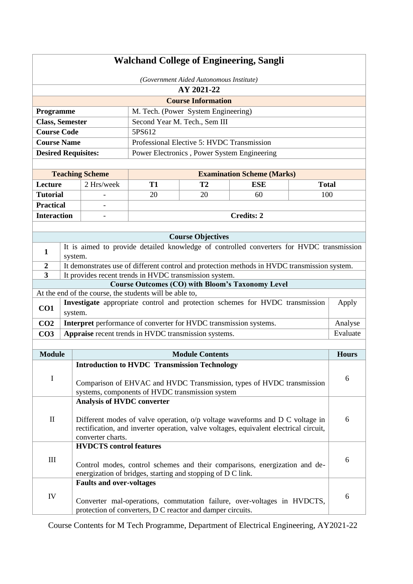| <b>Walchand College of Engineering, Sangli</b> |                           |                                   |                                                         |                                                                   |                                                                                                                                                                       |              |              |  |  |
|------------------------------------------------|---------------------------|-----------------------------------|---------------------------------------------------------|-------------------------------------------------------------------|-----------------------------------------------------------------------------------------------------------------------------------------------------------------------|--------------|--------------|--|--|
| (Government Aided Autonomous Institute)        |                           |                                   |                                                         |                                                                   |                                                                                                                                                                       |              |              |  |  |
| AY 2021-22                                     |                           |                                   |                                                         |                                                                   |                                                                                                                                                                       |              |              |  |  |
|                                                | <b>Course Information</b> |                                   |                                                         |                                                                   |                                                                                                                                                                       |              |              |  |  |
| Programme                                      |                           |                                   |                                                         | M. Tech. (Power System Engineering)                               |                                                                                                                                                                       |              |              |  |  |
| <b>Class, Semester</b>                         |                           |                                   |                                                         | Second Year M. Tech., Sem III                                     |                                                                                                                                                                       |              |              |  |  |
| <b>Course Code</b>                             |                           |                                   | 5PS612                                                  |                                                                   |                                                                                                                                                                       |              |              |  |  |
| <b>Course Name</b>                             |                           |                                   |                                                         | Professional Elective 5: HVDC Transmission                        |                                                                                                                                                                       |              |              |  |  |
| <b>Desired Requisites:</b>                     |                           |                                   |                                                         | Power Electronics, Power System Engineering                       |                                                                                                                                                                       |              |              |  |  |
|                                                |                           |                                   |                                                         |                                                                   |                                                                                                                                                                       |              |              |  |  |
|                                                |                           | <b>Teaching Scheme</b>            |                                                         |                                                                   | <b>Examination Scheme (Marks)</b>                                                                                                                                     |              |              |  |  |
| Lecture                                        |                           | 2 Hrs/week                        | <b>T1</b>                                               | T <sub>2</sub>                                                    | <b>ESE</b>                                                                                                                                                            | <b>Total</b> |              |  |  |
| <b>Tutorial</b>                                |                           |                                   | 20                                                      | 20                                                                | 60                                                                                                                                                                    | 100          |              |  |  |
| <b>Practical</b>                               |                           |                                   |                                                         |                                                                   |                                                                                                                                                                       |              |              |  |  |
| <b>Interaction</b>                             |                           |                                   |                                                         |                                                                   | <b>Credits: 2</b>                                                                                                                                                     |              |              |  |  |
|                                                |                           |                                   |                                                         |                                                                   |                                                                                                                                                                       |              |              |  |  |
|                                                |                           |                                   |                                                         | <b>Course Objectives</b>                                          |                                                                                                                                                                       |              |              |  |  |
| $\mathbf{1}$                                   | system.                   |                                   |                                                         |                                                                   | It is aimed to provide detailed knowledge of controlled converters for HVDC transmission                                                                              |              |              |  |  |
| $\boldsymbol{2}$                               |                           |                                   |                                                         |                                                                   | It demonstrates use of different control and protection methods in HVDC transmission system.                                                                          |              |              |  |  |
| 3                                              |                           |                                   |                                                         | It provides recent trends in HVDC transmission system.            |                                                                                                                                                                       |              |              |  |  |
|                                                |                           |                                   | At the end of the course, the students will be able to, |                                                                   | <b>Course Outcomes (CO) with Bloom's Taxonomy Level</b>                                                                                                               |              |              |  |  |
|                                                |                           |                                   |                                                         |                                                                   | Investigate appropriate control and protection schemes for HVDC transmission                                                                                          |              | Apply        |  |  |
| CO1                                            | system.                   |                                   |                                                         |                                                                   |                                                                                                                                                                       |              |              |  |  |
| CO <sub>2</sub>                                |                           |                                   |                                                         | Interpret performance of converter for HVDC transmission systems. |                                                                                                                                                                       |              | Analyse      |  |  |
| CO <sub>3</sub>                                |                           |                                   |                                                         | Appraise recent trends in HVDC transmission systems.              |                                                                                                                                                                       |              | Evaluate     |  |  |
|                                                |                           |                                   |                                                         |                                                                   |                                                                                                                                                                       |              |              |  |  |
| <b>Module</b>                                  |                           |                                   |                                                         | <b>Module Contents</b>                                            |                                                                                                                                                                       |              | <b>Hours</b> |  |  |
|                                                |                           |                                   |                                                         | <b>Introduction to HVDC Transmission Technology</b>               |                                                                                                                                                                       |              |              |  |  |
| $\mathbf I$                                    |                           |                                   |                                                         |                                                                   | Comparison of EHVAC and HVDC Transmission, types of HVDC transmission                                                                                                 |              | 6            |  |  |
|                                                |                           |                                   |                                                         | systems, components of HVDC transmission system                   |                                                                                                                                                                       |              |              |  |  |
|                                                |                           | <b>Analysis of HVDC converter</b> |                                                         |                                                                   |                                                                                                                                                                       |              |              |  |  |
|                                                |                           |                                   |                                                         |                                                                   |                                                                                                                                                                       |              |              |  |  |
| $\mathbf{I}$                                   |                           |                                   |                                                         |                                                                   | Different modes of valve operation, o/p voltage waveforms and D C voltage in<br>rectification, and inverter operation, valve voltages, equivalent electrical circuit, |              | 6            |  |  |
|                                                |                           | converter charts.                 |                                                         |                                                                   |                                                                                                                                                                       |              |              |  |  |
| <b>HVDCTS</b> control features                 |                           |                                   |                                                         |                                                                   |                                                                                                                                                                       |              |              |  |  |
| III                                            |                           |                                   |                                                         |                                                                   |                                                                                                                                                                       |              | 6            |  |  |
|                                                |                           |                                   |                                                         |                                                                   | Control modes, control schemes and their comparisons, energization and de-                                                                                            |              |              |  |  |
|                                                |                           | <b>Faults and over-voltages</b>   |                                                         | energization of bridges, starting and stopping of D C link.       |                                                                                                                                                                       |              |              |  |  |
|                                                |                           |                                   |                                                         |                                                                   |                                                                                                                                                                       |              |              |  |  |
| IV                                             |                           |                                   |                                                         |                                                                   | Converter mal-operations, commutation failure, over-voltages in HVDCTS,                                                                                               |              | 6            |  |  |
|                                                |                           |                                   |                                                         | protection of converters, D C reactor and damper circuits.        |                                                                                                                                                                       |              |              |  |  |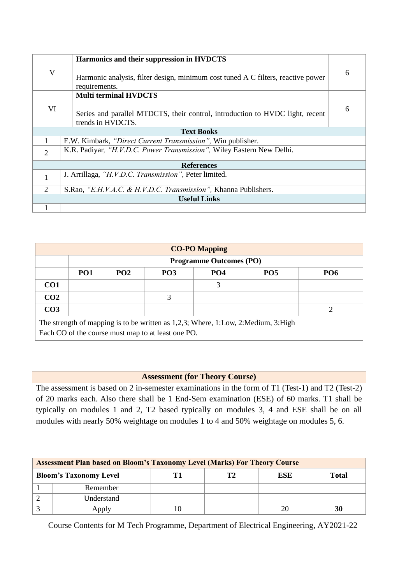|                             | Harmonics and their suppression in HVDCTS                                                          |   |  |  |  |
|-----------------------------|----------------------------------------------------------------------------------------------------|---|--|--|--|
| $\mathbf V$                 | Harmonic analysis, filter design, minimum cost tuned A C filters, reactive power<br>requirements.  |   |  |  |  |
|                             | <b>Multi terminal HVDCTS</b>                                                                       |   |  |  |  |
| VI                          | Series and parallel MTDCTS, their control, introduction to HVDC light, recent<br>trends in HVDCTS. | 6 |  |  |  |
|                             | <b>Text Books</b>                                                                                  |   |  |  |  |
|                             | E.W. Kimbark, "Direct Current Transmission", Win publisher.                                        |   |  |  |  |
| $\overline{2}$              | K.R. Padiyar, "H.V.D.C. Power Transmission", Wiley Eastern New Delhi.                              |   |  |  |  |
|                             | <b>References</b>                                                                                  |   |  |  |  |
|                             | J. Arrillaga, "H.V.D.C. Transmission", Peter limited.                                              |   |  |  |  |
| $\mathcal{D}_{\mathcal{L}}$ | S.Rao, "E.H.V.A.C. & H.V.D.C. Transmission", Khanna Publishers.                                    |   |  |  |  |
|                             | <b>Useful Links</b>                                                                                |   |  |  |  |
|                             |                                                                                                    |   |  |  |  |

|                 | <b>CO-PO Mapping</b>                                                                                                                    |                 |            |                                |            |            |  |  |  |  |  |
|-----------------|-----------------------------------------------------------------------------------------------------------------------------------------|-----------------|------------|--------------------------------|------------|------------|--|--|--|--|--|
|                 |                                                                                                                                         |                 |            | <b>Programme Outcomes (PO)</b> |            |            |  |  |  |  |  |
|                 | PO <sub>1</sub>                                                                                                                         | PO <sub>2</sub> | <b>PO3</b> | <b>PO4</b>                     | <b>PO5</b> | <b>PO6</b> |  |  |  |  |  |
| CO <sub>1</sub> |                                                                                                                                         |                 |            | 3                              |            |            |  |  |  |  |  |
| CO <sub>2</sub> |                                                                                                                                         |                 | 3          |                                |            |            |  |  |  |  |  |
| CO <sub>3</sub> |                                                                                                                                         |                 |            |                                |            |            |  |  |  |  |  |
|                 | The strength of mapping is to be written as 1,2,3; Where, 1:Low, 2:Medium, 3:High<br>Each CO of the course must map to at least one PO. |                 |            |                                |            |            |  |  |  |  |  |

# **Assessment (for Theory Course)**

The assessment is based on 2 in-semester examinations in the form of T1 (Test-1) and T2 (Test-2) of 20 marks each. Also there shall be 1 End-Sem examination (ESE) of 60 marks. T1 shall be typically on modules 1 and 2, T2 based typically on modules 3, 4 and ESE shall be on all modules with nearly 50% weightage on modules 1 to 4 and 50% weightage on modules 5, 6.

| <b>Assessment Plan based on Bloom's Taxonomy Level (Marks) For Theory Course</b> |  |    |     |              |  |  |  |  |  |
|----------------------------------------------------------------------------------|--|----|-----|--------------|--|--|--|--|--|
| <b>Bloom's Taxonomy Level</b>                                                    |  | Т2 | ESE | <b>Total</b> |  |  |  |  |  |
| Remember                                                                         |  |    |     |              |  |  |  |  |  |
| Understand                                                                       |  |    |     |              |  |  |  |  |  |
| Apply                                                                            |  |    | 20  |              |  |  |  |  |  |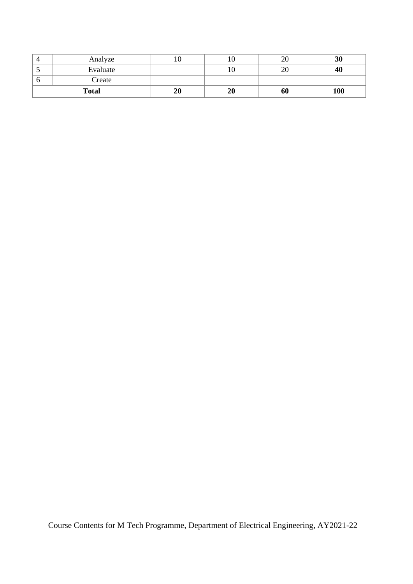| Analyze      | ιv |                 | 20 | 30  |
|--------------|----|-----------------|----|-----|
| Evaluate     |    |                 | 20 | 40  |
| Create       |    |                 |    |     |
| <b>Total</b> | 20 | $\overline{20}$ | 60 | 100 |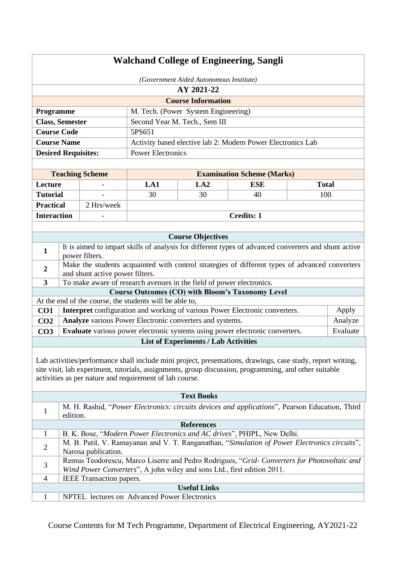| <b>Walchand College of Engineering, Sangli</b> |                                         |                                 |                                                         |                                                                      |                                                                                                                                                                                                                      |              |          |  |  |
|------------------------------------------------|-----------------------------------------|---------------------------------|---------------------------------------------------------|----------------------------------------------------------------------|----------------------------------------------------------------------------------------------------------------------------------------------------------------------------------------------------------------------|--------------|----------|--|--|
|                                                | (Government Aided Autonomous Institute) |                                 |                                                         |                                                                      |                                                                                                                                                                                                                      |              |          |  |  |
|                                                | AY 2021-22                              |                                 |                                                         |                                                                      |                                                                                                                                                                                                                      |              |          |  |  |
|                                                |                                         |                                 |                                                         | <b>Course Information</b>                                            |                                                                                                                                                                                                                      |              |          |  |  |
| Programme                                      |                                         |                                 |                                                         | M. Tech. (Power System Engineering)                                  |                                                                                                                                                                                                                      |              |          |  |  |
|                                                | <b>Class, Semester</b>                  |                                 |                                                         | Second Year M. Tech., Sem III                                        |                                                                                                                                                                                                                      |              |          |  |  |
| <b>Course Code</b>                             |                                         |                                 | 5PS651                                                  |                                                                      |                                                                                                                                                                                                                      |              |          |  |  |
| <b>Course Name</b>                             |                                         |                                 |                                                         |                                                                      | Activity based elective lab 2: Modern Power Electronics Lab                                                                                                                                                          |              |          |  |  |
| <b>Desired Requisites:</b>                     |                                         |                                 | <b>Power Electronics</b>                                |                                                                      |                                                                                                                                                                                                                      |              |          |  |  |
|                                                |                                         |                                 |                                                         |                                                                      |                                                                                                                                                                                                                      |              |          |  |  |
|                                                |                                         | <b>Teaching Scheme</b>          |                                                         |                                                                      | <b>Examination Scheme (Marks)</b>                                                                                                                                                                                    |              |          |  |  |
| Lecture                                        |                                         |                                 | LA1                                                     | LA2                                                                  | <b>ESE</b>                                                                                                                                                                                                           | <b>Total</b> |          |  |  |
| <b>Tutorial</b>                                |                                         |                                 | 30                                                      | 30                                                                   | 40                                                                                                                                                                                                                   | 100          |          |  |  |
| <b>Practical</b>                               |                                         | 2 Hrs/week                      |                                                         |                                                                      |                                                                                                                                                                                                                      |              |          |  |  |
| <b>Interaction</b>                             |                                         |                                 |                                                         |                                                                      | <b>Credits: 1</b>                                                                                                                                                                                                    |              |          |  |  |
|                                                |                                         |                                 |                                                         |                                                                      |                                                                                                                                                                                                                      |              |          |  |  |
|                                                |                                         |                                 |                                                         | <b>Course Objectives</b>                                             |                                                                                                                                                                                                                      |              |          |  |  |
| $\mathbf{1}$                                   |                                         | power filters.                  |                                                         |                                                                      | It is aimed to impart skills of analysis for different types of advanced converters and shunt active                                                                                                                 |              |          |  |  |
| $\boldsymbol{2}$                               |                                         |                                 |                                                         |                                                                      | Make the students acquainted with control strategies of different types of advanced converters                                                                                                                       |              |          |  |  |
|                                                |                                         | and shunt active power filters. |                                                         |                                                                      |                                                                                                                                                                                                                      |              |          |  |  |
| 3                                              |                                         |                                 |                                                         | To make aware of research avenues in the field of power electronics. | <b>Course Outcomes (CO) with Bloom's Taxonomy Level</b>                                                                                                                                                              |              |          |  |  |
|                                                |                                         |                                 | At the end of the course, the students will be able to, |                                                                      |                                                                                                                                                                                                                      |              |          |  |  |
| CO1                                            |                                         |                                 |                                                         |                                                                      | Interpret configuration and working of various Power Electronic converters.                                                                                                                                          |              | Apply    |  |  |
| CO <sub>2</sub>                                |                                         |                                 |                                                         | Analyze various Power Electronic converters and systems.             |                                                                                                                                                                                                                      |              | Analyze  |  |  |
| CO <sub>3</sub>                                |                                         |                                 |                                                         |                                                                      | Evaluate various power electronic systems using power electronic converters.                                                                                                                                         |              | Evaluate |  |  |
|                                                |                                         |                                 |                                                         | <b>List of Experiments / Lab Activities</b>                          |                                                                                                                                                                                                                      |              |          |  |  |
|                                                |                                         |                                 | activities as per nature and requirement of lab course. |                                                                      | Lab activities/performance shall include mini project, presentations, drawings, case study, report writing,<br>site visit, lab experiment, tutorials, assignments, group discussion, programming, and other suitable |              |          |  |  |
|                                                |                                         |                                 |                                                         | <b>Text Books</b>                                                    |                                                                                                                                                                                                                      |              |          |  |  |
| 1                                              | edition.                                |                                 |                                                         |                                                                      | M. H. Rashid, "Power Electronics: circuits devices and applications", Pearson Education, Third                                                                                                                       |              |          |  |  |
|                                                |                                         |                                 |                                                         | <b>References</b>                                                    |                                                                                                                                                                                                                      |              |          |  |  |
| 1                                              |                                         |                                 |                                                         |                                                                      | B. K. Bose, "Modern Power Electronics and AC drives", PHIPL, New Delhi.                                                                                                                                              |              |          |  |  |
| $\overline{c}$                                 |                                         | Narosa publication.             |                                                         |                                                                      | M. B. Patil, V. Ramayanan and V. T. Ranganathan, "Simulation of Power Electronics circuits",                                                                                                                         |              |          |  |  |
| 3                                              |                                         |                                 |                                                         |                                                                      | Remus Teodorescu, Marco Liserre and Pedro Rodrigues, "Grid- Converters for Photovoltaic and<br>Wind Power Converters", A john wiley and sons Ltd., first edition 2011.                                               |              |          |  |  |
| 4                                              |                                         | IEEE Transaction papers.        |                                                         |                                                                      |                                                                                                                                                                                                                      |              |          |  |  |
|                                                |                                         |                                 |                                                         | <b>Useful Links</b>                                                  |                                                                                                                                                                                                                      |              |          |  |  |
| 1                                              |                                         |                                 | NPTEL lectures on Advanced Power Electronics            |                                                                      |                                                                                                                                                                                                                      |              |          |  |  |
|                                                |                                         |                                 |                                                         |                                                                      |                                                                                                                                                                                                                      |              |          |  |  |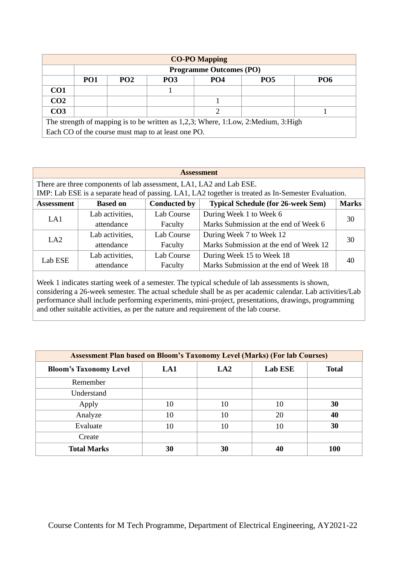| <b>CO-PO Mapping</b>                                                              |                                                    |                 |                 |                                |            |            |  |  |  |  |
|-----------------------------------------------------------------------------------|----------------------------------------------------|-----------------|-----------------|--------------------------------|------------|------------|--|--|--|--|
|                                                                                   |                                                    |                 |                 | <b>Programme Outcomes (PO)</b> |            |            |  |  |  |  |
|                                                                                   | PO <sub>1</sub>                                    | PO <sub>2</sub> | PO <sub>3</sub> | PO <sub>4</sub>                | <b>PO5</b> | <b>PO6</b> |  |  |  |  |
| CO <sub>1</sub>                                                                   |                                                    |                 |                 |                                |            |            |  |  |  |  |
| CO <sub>2</sub>                                                                   |                                                    |                 |                 |                                |            |            |  |  |  |  |
| CO <sub>3</sub>                                                                   |                                                    |                 |                 |                                |            |            |  |  |  |  |
| The strength of mapping is to be written as 1,2,3; Where, 1:Low, 2:Medium, 3:High |                                                    |                 |                 |                                |            |            |  |  |  |  |
|                                                                                   | Each CO of the course must map to at least one PO. |                 |                 |                                |            |            |  |  |  |  |

| <b>Assessment</b>                                                                                                                                                          |                 |                     |                                           |              |  |  |  |  |  |
|----------------------------------------------------------------------------------------------------------------------------------------------------------------------------|-----------------|---------------------|-------------------------------------------|--------------|--|--|--|--|--|
| There are three components of lab assessment, LA1, LA2 and Lab ESE.<br>IMP: Lab ESE is a separate head of passing. LA1, LA2 together is treated as In-Semester Evaluation. |                 |                     |                                           |              |  |  |  |  |  |
| <b>Assessment</b>                                                                                                                                                          | <b>Based on</b> | <b>Conducted by</b> | <b>Typical Schedule (for 26-week Sem)</b> | <b>Marks</b> |  |  |  |  |  |
| LA1                                                                                                                                                                        | Lab activities, | Lab Course          | During Week 1 to Week 6                   | 30           |  |  |  |  |  |
|                                                                                                                                                                            | attendance      | Faculty             | Marks Submission at the end of Week 6     |              |  |  |  |  |  |
| LA2                                                                                                                                                                        | Lab activities, | Lab Course          | During Week 7 to Week 12                  | 30           |  |  |  |  |  |
|                                                                                                                                                                            | attendance      | Faculty             | Marks Submission at the end of Week 12    |              |  |  |  |  |  |
|                                                                                                                                                                            | Lab activities, | Lab Course          | During Week 15 to Week 18                 | 40           |  |  |  |  |  |
| Lab ESE                                                                                                                                                                    | attendance      | Faculty             | Marks Submission at the end of Week 18    |              |  |  |  |  |  |

Week 1 indicates starting week of a semester. The typical schedule of lab assessments is shown, considering a 26-week semester. The actual schedule shall be as per academic calendar. Lab activities/Lab performance shall include performing experiments, mini-project, presentations, drawings, programming and other suitable activities, as per the nature and requirement of the lab course.

| <b>Assessment Plan based on Bloom's Taxonomy Level (Marks) (For lab Courses)</b> |     |                 |                |              |  |  |  |  |
|----------------------------------------------------------------------------------|-----|-----------------|----------------|--------------|--|--|--|--|
| <b>Bloom's Taxonomy Level</b>                                                    | LA1 | LA <sub>2</sub> | <b>Lab ESE</b> | <b>Total</b> |  |  |  |  |
| Remember                                                                         |     |                 |                |              |  |  |  |  |
| Understand                                                                       |     |                 |                |              |  |  |  |  |
| Apply                                                                            | 10  | 10              | 10             | 30           |  |  |  |  |
| Analyze                                                                          | 10  | 10              | 20             | 40           |  |  |  |  |
| Evaluate                                                                         | 10  | 10              | 10             | 30           |  |  |  |  |
| Create                                                                           |     |                 |                |              |  |  |  |  |
| <b>Total Marks</b>                                                               | 30  | 30              |                | 100          |  |  |  |  |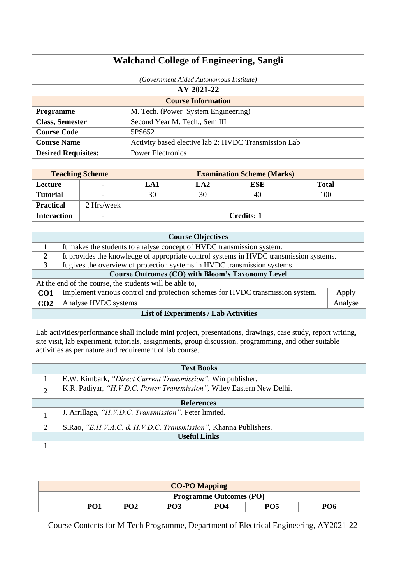|                            | <b>Walchand College of Engineering, Sangli</b> |                        |                                                                 |                                             |                                                                                                                                                                                                                      |              |  |
|----------------------------|------------------------------------------------|------------------------|-----------------------------------------------------------------|---------------------------------------------|----------------------------------------------------------------------------------------------------------------------------------------------------------------------------------------------------------------------|--------------|--|
|                            | (Government Aided Autonomous Institute)        |                        |                                                                 |                                             |                                                                                                                                                                                                                      |              |  |
|                            |                                                |                        |                                                                 | AY 2021-22                                  |                                                                                                                                                                                                                      |              |  |
|                            |                                                |                        |                                                                 | <b>Course Information</b>                   |                                                                                                                                                                                                                      |              |  |
| Programme                  |                                                |                        |                                                                 | M. Tech. (Power System Engineering)         |                                                                                                                                                                                                                      |              |  |
| <b>Class, Semester</b>     |                                                |                        |                                                                 | Second Year M. Tech., Sem III               |                                                                                                                                                                                                                      |              |  |
| <b>Course Code</b>         |                                                |                        | 5PS652                                                          |                                             |                                                                                                                                                                                                                      |              |  |
| <b>Course Name</b>         |                                                |                        |                                                                 |                                             | Activity based elective lab 2: HVDC Transmission Lab                                                                                                                                                                 |              |  |
| <b>Desired Requisites:</b> |                                                |                        | <b>Power Electronics</b>                                        |                                             |                                                                                                                                                                                                                      |              |  |
|                            |                                                |                        |                                                                 |                                             |                                                                                                                                                                                                                      |              |  |
|                            |                                                | <b>Teaching Scheme</b> |                                                                 |                                             | <b>Examination Scheme (Marks)</b>                                                                                                                                                                                    |              |  |
| Lecture                    |                                                |                        | LA1                                                             | LA2                                         | <b>ESE</b>                                                                                                                                                                                                           | <b>Total</b> |  |
| <b>Tutorial</b>            |                                                |                        | 30                                                              | 30                                          | 40                                                                                                                                                                                                                   | 100          |  |
| <b>Practical</b>           |                                                | 2 Hrs/week             |                                                                 |                                             |                                                                                                                                                                                                                      |              |  |
| <b>Interaction</b>         |                                                |                        |                                                                 |                                             | <b>Credits: 1</b>                                                                                                                                                                                                    |              |  |
|                            |                                                |                        |                                                                 |                                             |                                                                                                                                                                                                                      |              |  |
|                            |                                                |                        |                                                                 | <b>Course Objectives</b>                    |                                                                                                                                                                                                                      |              |  |
| 1<br>$\overline{2}$        |                                                |                        |                                                                 |                                             | It makes the students to analyse concept of HVDC transmission system.<br>It provides the knowledge of appropriate control systems in HVDC transmission systems.                                                      |              |  |
| 3                          |                                                |                        |                                                                 |                                             | It gives the overview of protection systems in HVDC transmission systems.                                                                                                                                            |              |  |
|                            |                                                |                        |                                                                 |                                             | <b>Course Outcomes (CO) with Bloom's Taxonomy Level</b>                                                                                                                                                              |              |  |
|                            |                                                |                        | At the end of the course, the students will be able to,         |                                             |                                                                                                                                                                                                                      |              |  |
| CO <sub>1</sub>            |                                                |                        |                                                                 |                                             | Implement various control and protection schemes for HVDC transmission system.                                                                                                                                       | Apply        |  |
| CO <sub>2</sub>            |                                                | Analyse HVDC systems   |                                                                 |                                             |                                                                                                                                                                                                                      | Analyse      |  |
|                            |                                                |                        |                                                                 | <b>List of Experiments / Lab Activities</b> |                                                                                                                                                                                                                      |              |  |
|                            |                                                |                        | activities as per nature and requirement of lab course.         |                                             | Lab activities/performance shall include mini project, presentations, drawings, case study, report writing,<br>site visit, lab experiment, tutorials, assignments, group discussion, programming, and other suitable |              |  |
|                            |                                                |                        |                                                                 | <b>Text Books</b>                           |                                                                                                                                                                                                                      |              |  |
| 1                          |                                                |                        | E.W. Kimbark, "Direct Current Transmission", Win publisher.     |                                             |                                                                                                                                                                                                                      |              |  |
| $\overline{2}$             |                                                |                        |                                                                 |                                             | K.R. Padiyar, "H.V.D.C. Power Transmission", Wiley Eastern New Delhi.                                                                                                                                                |              |  |
|                            |                                                |                        |                                                                 | <b>References</b>                           |                                                                                                                                                                                                                      |              |  |
| $\mathbf{1}$               |                                                |                        | J. Arrillaga, "H.V.D.C. Transmission", Peter limited.           |                                             |                                                                                                                                                                                                                      |              |  |
| $\overline{2}$             |                                                |                        | S.Rao, "E.H.V.A.C. & H.V.D.C. Transmission", Khanna Publishers. |                                             |                                                                                                                                                                                                                      |              |  |
|                            |                                                |                        |                                                                 | <b>Useful Links</b>                         |                                                                                                                                                                                                                      |              |  |
| $\mathbf{1}$               |                                                |                        |                                                                 |                                             |                                                                                                                                                                                                                      |              |  |

| <b>CO-PO Mapping</b> |                                |                 |                 |                 |                 |                 |  |  |
|----------------------|--------------------------------|-----------------|-----------------|-----------------|-----------------|-----------------|--|--|
|                      | <b>Programme Outcomes (PO)</b> |                 |                 |                 |                 |                 |  |  |
|                      | PO1                            | PO <sub>2</sub> | PO <sub>3</sub> | PO <sub>4</sub> | PO <sub>5</sub> | PO <sub>6</sub> |  |  |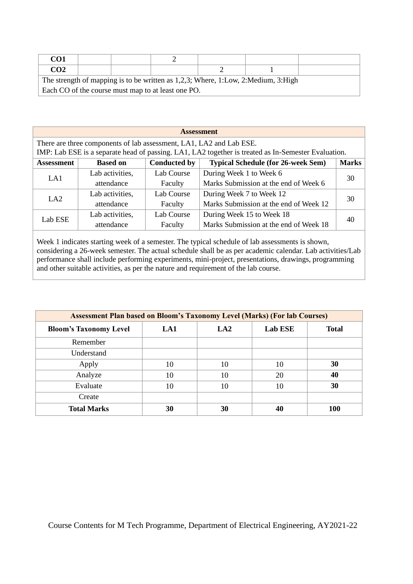| CO1                                                                               |  |  |                                                    |  |  |  |  |
|-----------------------------------------------------------------------------------|--|--|----------------------------------------------------|--|--|--|--|
| CO <sub>2</sub>                                                                   |  |  |                                                    |  |  |  |  |
| The strength of mapping is to be written as 1,2,3; Where, 1:Low, 2:Medium, 3:High |  |  |                                                    |  |  |  |  |
|                                                                                   |  |  | Each CO of the course must map to at least one PO. |  |  |  |  |

|                   | <b>Assessment</b>                                                   |                     |                                                                                                     |              |  |  |  |  |
|-------------------|---------------------------------------------------------------------|---------------------|-----------------------------------------------------------------------------------------------------|--------------|--|--|--|--|
|                   | There are three components of lab assessment, LA1, LA2 and Lab ESE. |                     |                                                                                                     |              |  |  |  |  |
|                   |                                                                     |                     | IMP: Lab ESE is a separate head of passing. LA1, LA2 together is treated as In-Semester Evaluation. |              |  |  |  |  |
| <b>Assessment</b> | <b>Based on</b>                                                     | <b>Conducted by</b> | <b>Typical Schedule (for 26-week Sem)</b>                                                           | <b>Marks</b> |  |  |  |  |
| LA1               | Lab activities,                                                     | Lab Course          | During Week 1 to Week 6                                                                             | 30           |  |  |  |  |
|                   | attendance                                                          | Faculty             | Marks Submission at the end of Week 6                                                               |              |  |  |  |  |
| LA2               | Lab activities,                                                     | Lab Course          | During Week 7 to Week 12                                                                            | 30           |  |  |  |  |
|                   | attendance                                                          | Faculty             | Marks Submission at the end of Week 12                                                              |              |  |  |  |  |
| Lab ESE           | Lab activities,                                                     | Lab Course          | During Week 15 to Week 18                                                                           | 40           |  |  |  |  |
|                   | attendance                                                          | Faculty             | Marks Submission at the end of Week 18                                                              |              |  |  |  |  |

Week 1 indicates starting week of a semester. The typical schedule of lab assessments is shown, considering a 26-week semester. The actual schedule shall be as per academic calendar. Lab activities/Lab performance shall include performing experiments, mini-project, presentations, drawings, programming and other suitable activities, as per the nature and requirement of the lab course.

| <b>Assessment Plan based on Bloom's Taxonomy Level (Marks) (For lab Courses)</b> |     |                 |                |              |  |  |  |  |
|----------------------------------------------------------------------------------|-----|-----------------|----------------|--------------|--|--|--|--|
| <b>Bloom's Taxonomy Level</b>                                                    | LA1 | LA <sub>2</sub> | <b>Lab ESE</b> | <b>Total</b> |  |  |  |  |
| Remember                                                                         |     |                 |                |              |  |  |  |  |
| Understand                                                                       |     |                 |                |              |  |  |  |  |
| Apply                                                                            | 10  | 10              | 10             | 30           |  |  |  |  |
| Analyze                                                                          | 10  | 10              | 20             | 40           |  |  |  |  |
| Evaluate                                                                         | 10  | 10              | 10             | 30           |  |  |  |  |
| Create                                                                           |     |                 |                |              |  |  |  |  |
| <b>Total Marks</b>                                                               | 30  | 30              | 40             | 100          |  |  |  |  |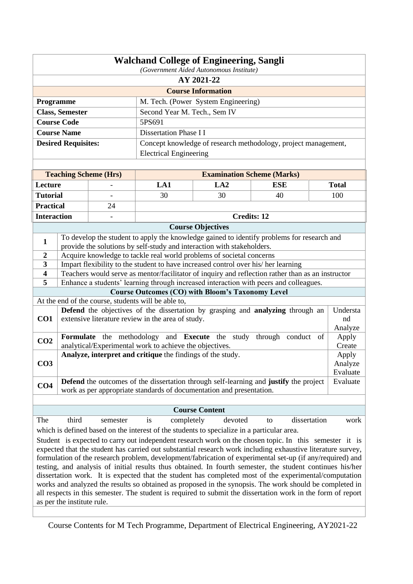|                                                                                                           | <b>Walchand College of Engineering, Sangli</b><br>(Government Aided Autonomous Institute) |                              |                                                                                                                                                                                                                         |                                                                |                    |                 |  |  |
|-----------------------------------------------------------------------------------------------------------|-------------------------------------------------------------------------------------------|------------------------------|-------------------------------------------------------------------------------------------------------------------------------------------------------------------------------------------------------------------------|----------------------------------------------------------------|--------------------|-----------------|--|--|
| AY 2021-22                                                                                                |                                                                                           |                              |                                                                                                                                                                                                                         |                                                                |                    |                 |  |  |
| <b>Course Information</b>                                                                                 |                                                                                           |                              |                                                                                                                                                                                                                         |                                                                |                    |                 |  |  |
| Programme<br>M. Tech. (Power System Engineering)                                                          |                                                                                           |                              |                                                                                                                                                                                                                         |                                                                |                    |                 |  |  |
|                                                                                                           | <b>Class, Semester</b>                                                                    |                              | Second Year M. Tech., Sem IV                                                                                                                                                                                            |                                                                |                    |                 |  |  |
|                                                                                                           | <b>Course Code</b>                                                                        |                              | 5PS691                                                                                                                                                                                                                  |                                                                |                    |                 |  |  |
|                                                                                                           | <b>Course Name</b>                                                                        |                              | Dissertation Phase I I                                                                                                                                                                                                  |                                                                |                    |                 |  |  |
|                                                                                                           | <b>Desired Requisites:</b>                                                                |                              |                                                                                                                                                                                                                         | Concept knowledge of research methodology, project management, |                    |                 |  |  |
|                                                                                                           |                                                                                           |                              | <b>Electrical Engineering</b>                                                                                                                                                                                           |                                                                |                    |                 |  |  |
|                                                                                                           |                                                                                           |                              |                                                                                                                                                                                                                         |                                                                |                    |                 |  |  |
|                                                                                                           |                                                                                           | <b>Teaching Scheme (Hrs)</b> |                                                                                                                                                                                                                         | <b>Examination Scheme (Marks)</b>                              |                    |                 |  |  |
| Lecture                                                                                                   |                                                                                           |                              | LA1                                                                                                                                                                                                                     | LA2                                                            | <b>ESE</b>         | <b>Total</b>    |  |  |
| <b>Tutorial</b>                                                                                           |                                                                                           |                              | 30                                                                                                                                                                                                                      | 30                                                             | 40                 | 100             |  |  |
| <b>Practical</b>                                                                                          |                                                                                           | 24                           |                                                                                                                                                                                                                         |                                                                |                    |                 |  |  |
| <b>Interaction</b>                                                                                        |                                                                                           |                              |                                                                                                                                                                                                                         | <b>Credits: 12</b>                                             |                    |                 |  |  |
|                                                                                                           |                                                                                           |                              |                                                                                                                                                                                                                         | <b>Course Objectives</b>                                       |                    |                 |  |  |
| $\mathbf{1}$                                                                                              |                                                                                           |                              | To develop the student to apply the knowledge gained to identify problems for research and<br>provide the solutions by self-study and interaction with stakeholders.                                                    |                                                                |                    |                 |  |  |
| $\boldsymbol{2}$                                                                                          |                                                                                           |                              | Acquire knowledge to tackle real world problems of societal concerns                                                                                                                                                    |                                                                |                    |                 |  |  |
| 3                                                                                                         |                                                                                           |                              | Impart flexibility to the student to have increased control over his/ her learning                                                                                                                                      |                                                                |                    |                 |  |  |
| 4                                                                                                         |                                                                                           |                              | Teachers would serve as mentor/facilitator of inquiry and reflection rather than as an instructor                                                                                                                       |                                                                |                    |                 |  |  |
| 5                                                                                                         |                                                                                           |                              | Enhance a students' learning through increased interaction with peers and colleagues.                                                                                                                                   |                                                                |                    |                 |  |  |
|                                                                                                           |                                                                                           |                              | <b>Course Outcomes (CO) with Bloom's Taxonomy Level</b>                                                                                                                                                                 |                                                                |                    |                 |  |  |
|                                                                                                           |                                                                                           |                              | At the end of the course, students will be able to,<br><b>Defend</b> the objectives of the dissertation by grasping and <b>analyzing</b> through an                                                                     |                                                                |                    | Understa        |  |  |
| CO <sub>1</sub>                                                                                           |                                                                                           |                              | extensive literature review in the area of study.                                                                                                                                                                       |                                                                |                    | nd<br>Analyze   |  |  |
| CO <sub>2</sub>                                                                                           |                                                                                           |                              | Formulate the methodology and Execute the study through conduct of<br>analytical/Experimental work to achieve the objectives.                                                                                           |                                                                |                    | Apply<br>Create |  |  |
|                                                                                                           |                                                                                           |                              | Analyze, interpret and critique the findings of the study.                                                                                                                                                              |                                                                |                    | Apply           |  |  |
| CO <sub>3</sub>                                                                                           |                                                                                           |                              |                                                                                                                                                                                                                         |                                                                |                    | Analyze         |  |  |
|                                                                                                           |                                                                                           |                              |                                                                                                                                                                                                                         |                                                                |                    | Evaluate        |  |  |
| CO <sub>4</sub>                                                                                           |                                                                                           |                              | <b>Defend</b> the outcomes of the dissertation through self-learning and justify the project<br>work as per appropriate standards of documentation and presentation.                                                    |                                                                |                    | Evaluate        |  |  |
|                                                                                                           |                                                                                           |                              |                                                                                                                                                                                                                         |                                                                |                    |                 |  |  |
|                                                                                                           |                                                                                           |                              |                                                                                                                                                                                                                         | <b>Course Content</b>                                          |                    |                 |  |  |
| The                                                                                                       | third                                                                                     | semester                     | completely<br>is                                                                                                                                                                                                        | devoted                                                        | dissertation<br>to | work            |  |  |
|                                                                                                           |                                                                                           |                              | which is defined based on the interest of the students to specialize in a particular area.                                                                                                                              |                                                                |                    |                 |  |  |
|                                                                                                           |                                                                                           |                              | Student is expected to carry out independent research work on the chosen topic. In this semester it is                                                                                                                  |                                                                |                    |                 |  |  |
|                                                                                                           |                                                                                           |                              | expected that the student has carried out substantial research work including exhaustive literature survey,                                                                                                             |                                                                |                    |                 |  |  |
| formulation of the research problem, development/fabrication of experimental set-up (if any/required) and |                                                                                           |                              |                                                                                                                                                                                                                         |                                                                |                    |                 |  |  |
|                                                                                                           |                                                                                           |                              | testing, and analysis of initial results thus obtained. In fourth semester, the student continues his/her                                                                                                               |                                                                |                    |                 |  |  |
|                                                                                                           |                                                                                           |                              | dissertation work. It is expected that the student has completed most of the experimental/computation                                                                                                                   |                                                                |                    |                 |  |  |
|                                                                                                           |                                                                                           |                              | works and analyzed the results so obtained as proposed in the synopsis. The work should be completed in<br>all respects in this semester. The student is required to submit the dissertation work in the form of report |                                                                |                    |                 |  |  |
|                                                                                                           | as per the institute rule.                                                                |                              |                                                                                                                                                                                                                         |                                                                |                    |                 |  |  |
|                                                                                                           |                                                                                           |                              |                                                                                                                                                                                                                         |                                                                |                    |                 |  |  |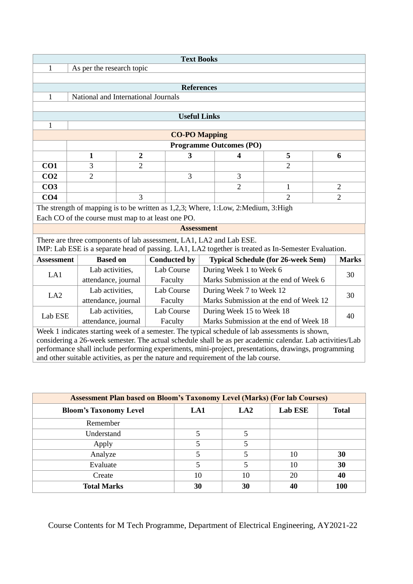|                                                                                           |                                                                                       |                                       |  | <b>Text Books</b>    |  |                          |                                                                                                           |  |                |
|-------------------------------------------------------------------------------------------|---------------------------------------------------------------------------------------|---------------------------------------|--|----------------------|--|--------------------------|-----------------------------------------------------------------------------------------------------------|--|----------------|
| 1<br>As per the research topic                                                            |                                                                                       |                                       |  |                      |  |                          |                                                                                                           |  |                |
|                                                                                           |                                                                                       |                                       |  |                      |  |                          |                                                                                                           |  |                |
|                                                                                           |                                                                                       |                                       |  | <b>References</b>    |  |                          |                                                                                                           |  |                |
| $\mathbf{1}$                                                                              | National and International Journals                                                   |                                       |  |                      |  |                          |                                                                                                           |  |                |
|                                                                                           |                                                                                       |                                       |  |                      |  |                          |                                                                                                           |  |                |
|                                                                                           |                                                                                       |                                       |  | <b>Useful Links</b>  |  |                          |                                                                                                           |  |                |
| $\mathbf{1}$                                                                              |                                                                                       |                                       |  |                      |  |                          |                                                                                                           |  |                |
|                                                                                           |                                                                                       |                                       |  | <b>CO-PO Mapping</b> |  |                          |                                                                                                           |  |                |
|                                                                                           |                                                                                       |                                       |  |                      |  | Programme Outcomes (PO)  |                                                                                                           |  |                |
|                                                                                           | 1                                                                                     | $\overline{2}$                        |  | 3                    |  | $\overline{\mathbf{4}}$  | 5                                                                                                         |  | 6              |
| CO1                                                                                       | 3                                                                                     | $\overline{2}$                        |  |                      |  |                          | 2                                                                                                         |  |                |
| CO <sub>2</sub>                                                                           | $\overline{2}$                                                                        | 3<br>3                                |  |                      |  |                          |                                                                                                           |  |                |
| CO <sub>3</sub>                                                                           |                                                                                       | $\overline{2}$<br>$\overline{2}$<br>1 |  |                      |  |                          |                                                                                                           |  |                |
| CO <sub>4</sub>                                                                           |                                                                                       | 3                                     |  |                      |  |                          | $\overline{2}$                                                                                            |  | $\overline{2}$ |
|                                                                                           | The strength of mapping is to be written as 1,2,3; Where, 1:Low, 2:Medium, 3:High     |                                       |  |                      |  |                          |                                                                                                           |  |                |
|                                                                                           | Each CO of the course must map to at least one PO.                                    |                                       |  |                      |  |                          |                                                                                                           |  |                |
|                                                                                           |                                                                                       |                                       |  | <b>Assessment</b>    |  |                          |                                                                                                           |  |                |
|                                                                                           | There are three components of lab assessment, LA1, LA2 and Lab ESE.                   |                                       |  |                      |  |                          |                                                                                                           |  |                |
|                                                                                           |                                                                                       |                                       |  |                      |  |                          | IMP: Lab ESE is a separate head of passing. LA1, LA2 together is treated as In-Semester Evaluation.       |  |                |
| <b>Assessment</b>                                                                         | <b>Based on</b>                                                                       |                                       |  | <b>Conducted by</b>  |  |                          | <b>Typical Schedule (for 26-week Sem)</b>                                                                 |  | <b>Marks</b>   |
|                                                                                           | Lab activities,                                                                       |                                       |  | Lab Course           |  | During Week 1 to Week 6  |                                                                                                           |  |                |
| LA1                                                                                       | attendance, journal                                                                   |                                       |  | Faculty              |  |                          | Marks Submission at the end of Week 6                                                                     |  | 30             |
|                                                                                           | Lab activities,                                                                       |                                       |  | <b>Lab Course</b>    |  | During Week 7 to Week 12 |                                                                                                           |  |                |
|                                                                                           | 30<br>LA2<br>attendance, journal<br>Marks Submission at the end of Week 12<br>Faculty |                                       |  |                      |  |                          |                                                                                                           |  |                |
|                                                                                           | Lab activities,<br>Lab Course<br>During Week 15 to Week 18                            |                                       |  |                      |  |                          |                                                                                                           |  |                |
| Lab ESE<br>40<br>Marks Submission at the end of Week 18<br>attendance, journal<br>Faculty |                                                                                       |                                       |  |                      |  |                          |                                                                                                           |  |                |
|                                                                                           |                                                                                       |                                       |  |                      |  |                          | Week 1 indicates starting week of a semester. The typical schedule of lab assessments is shown,           |  |                |
|                                                                                           |                                                                                       |                                       |  |                      |  |                          | considering a 26-week semester. The actual schedule shall be as per academic calendar. Lab activities/Lab |  |                |
|                                                                                           |                                                                                       |                                       |  |                      |  |                          | performance shall include performing experiments, mini-project, presentations, drawings, programming      |  |                |

and other suitable activities, as per the nature and requirement of the lab course.

| <b>Assessment Plan based on Bloom's Taxonomy Level (Marks) (For lab Courses)</b> |     |                 |                |              |  |  |  |  |
|----------------------------------------------------------------------------------|-----|-----------------|----------------|--------------|--|--|--|--|
| <b>Bloom's Taxonomy Level</b>                                                    | LA1 | LA <sub>2</sub> | <b>Lab ESE</b> | <b>Total</b> |  |  |  |  |
| Remember                                                                         |     |                 |                |              |  |  |  |  |
| Understand                                                                       |     | 5               |                |              |  |  |  |  |
| Apply                                                                            |     |                 |                |              |  |  |  |  |
| Analyze                                                                          |     |                 | 10             | 30           |  |  |  |  |
| Evaluate                                                                         |     |                 | 10             | 30           |  |  |  |  |
| Create                                                                           | 10  | 10              | 20             | 40           |  |  |  |  |
| <b>Total Marks</b>                                                               | 30  | 30              | 40             | 100          |  |  |  |  |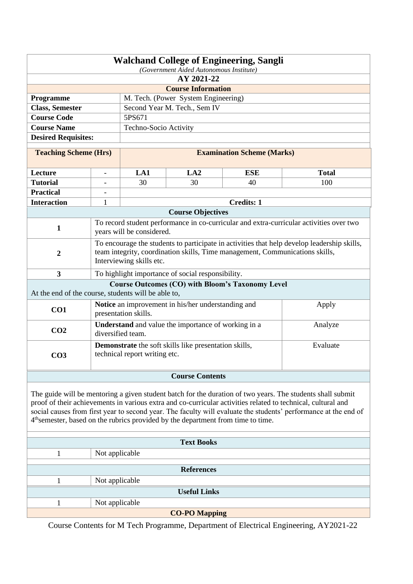| <b>Walchand College of Engineering, Sangli</b><br>(Government Aided Autonomous Institute)    |                                                  |                               |                                                              |                                                                              |                                                                                                                                                                                                                                                                                                                                               |  |  |
|----------------------------------------------------------------------------------------------|--------------------------------------------------|-------------------------------|--------------------------------------------------------------|------------------------------------------------------------------------------|-----------------------------------------------------------------------------------------------------------------------------------------------------------------------------------------------------------------------------------------------------------------------------------------------------------------------------------------------|--|--|
| AY 2021-22                                                                                   |                                                  |                               |                                                              |                                                                              |                                                                                                                                                                                                                                                                                                                                               |  |  |
| <b>Course Information</b>                                                                    |                                                  |                               |                                                              |                                                                              |                                                                                                                                                                                                                                                                                                                                               |  |  |
|                                                                                              | M. Tech. (Power System Engineering)<br>Programme |                               |                                                              |                                                                              |                                                                                                                                                                                                                                                                                                                                               |  |  |
| <b>Class, Semester</b>                                                                       |                                                  |                               | Second Year M. Tech., Sem IV                                 |                                                                              |                                                                                                                                                                                                                                                                                                                                               |  |  |
| <b>Course Code</b>                                                                           |                                                  | 5PS671                        |                                                              |                                                                              |                                                                                                                                                                                                                                                                                                                                               |  |  |
| <b>Course Name</b>                                                                           |                                                  | Techno-Socio Activity         |                                                              |                                                                              |                                                                                                                                                                                                                                                                                                                                               |  |  |
| <b>Desired Requisites:</b>                                                                   |                                                  |                               |                                                              |                                                                              |                                                                                                                                                                                                                                                                                                                                               |  |  |
| <b>Teaching Scheme (Hrs)</b>                                                                 |                                                  |                               |                                                              | <b>Examination Scheme (Marks)</b>                                            |                                                                                                                                                                                                                                                                                                                                               |  |  |
| Lecture                                                                                      | $\overline{\phantom{a}}$                         | LA1                           | LA2                                                          | <b>ESE</b>                                                                   | <b>Total</b>                                                                                                                                                                                                                                                                                                                                  |  |  |
| <b>Tutorial</b>                                                                              |                                                  | 30                            | 30                                                           | 40                                                                           | 100                                                                                                                                                                                                                                                                                                                                           |  |  |
| <b>Practical</b>                                                                             |                                                  |                               |                                                              |                                                                              |                                                                                                                                                                                                                                                                                                                                               |  |  |
| <b>Interaction</b>                                                                           | 1                                                |                               |                                                              | <b>Credits: 1</b>                                                            |                                                                                                                                                                                                                                                                                                                                               |  |  |
|                                                                                              |                                                  |                               | <b>Course Objectives</b>                                     |                                                                              |                                                                                                                                                                                                                                                                                                                                               |  |  |
| $\mathbf{1}$                                                                                 |                                                  | years will be considered.     |                                                              |                                                                              | To record student performance in co-curricular and extra-curricular activities over two                                                                                                                                                                                                                                                       |  |  |
| $\overline{2}$                                                                               |                                                  | Interviewing skills etc.      |                                                              | team integrity, coordination skills, Time management, Communications skills, | To encourage the students to participate in activities that help develop leadership skills,                                                                                                                                                                                                                                                   |  |  |
| $\overline{\mathbf{3}}$                                                                      |                                                  |                               | To highlight importance of social responsibility.            |                                                                              |                                                                                                                                                                                                                                                                                                                                               |  |  |
| At the end of the course, students will be able to,                                          |                                                  |                               |                                                              | <b>Course Outcomes (CO) with Bloom's Taxonomy Level</b>                      |                                                                                                                                                                                                                                                                                                                                               |  |  |
| CO <sub>1</sub>                                                                              |                                                  | presentation skills.          | Notice an improvement in his/her understanding and           |                                                                              | Apply                                                                                                                                                                                                                                                                                                                                         |  |  |
| CO <sub>2</sub>                                                                              |                                                  | diversified team.             | <b>Understand</b> and value the importance of working in a   |                                                                              | Analyze                                                                                                                                                                                                                                                                                                                                       |  |  |
| CO <sub>3</sub>                                                                              |                                                  | technical report writing etc. | <b>Demonstrate</b> the soft skills like presentation skills, |                                                                              | Evaluate                                                                                                                                                                                                                                                                                                                                      |  |  |
|                                                                                              |                                                  |                               | <b>Course Contents</b>                                       |                                                                              |                                                                                                                                                                                                                                                                                                                                               |  |  |
| 4 <sup>th</sup> semester, based on the rubrics provided by the department from time to time. |                                                  |                               |                                                              |                                                                              | The guide will be mentoring a given student batch for the duration of two years. The students shall submit<br>proof of their achievements in various extra and co-curricular activities related to technical, cultural and<br>social causes from first year to second year. The faculty will evaluate the students' performance at the end of |  |  |
|                                                                                              |                                                  |                               | <b>Text Books</b>                                            |                                                                              |                                                                                                                                                                                                                                                                                                                                               |  |  |
| 1                                                                                            | Not applicable                                   |                               |                                                              |                                                                              |                                                                                                                                                                                                                                                                                                                                               |  |  |
|                                                                                              |                                                  |                               |                                                              |                                                                              |                                                                                                                                                                                                                                                                                                                                               |  |  |
|                                                                                              |                                                  |                               | <b>References</b>                                            |                                                                              |                                                                                                                                                                                                                                                                                                                                               |  |  |
| 1                                                                                            | Not applicable                                   |                               |                                                              |                                                                              |                                                                                                                                                                                                                                                                                                                                               |  |  |
|                                                                                              |                                                  |                               | <b>Useful Links</b>                                          |                                                                              |                                                                                                                                                                                                                                                                                                                                               |  |  |
| 1                                                                                            | Not applicable                                   |                               |                                                              |                                                                              |                                                                                                                                                                                                                                                                                                                                               |  |  |
|                                                                                              |                                                  |                               | <b>CO-PO Mapping</b>                                         |                                                                              |                                                                                                                                                                                                                                                                                                                                               |  |  |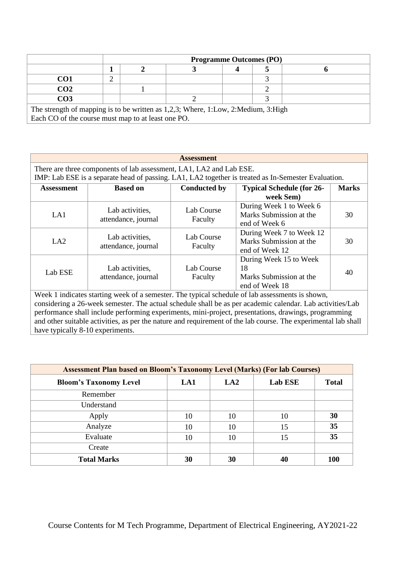|                                                                                                                                         | <b>Programme Outcomes (PO)</b> |  |  |  |  |  |  |
|-----------------------------------------------------------------------------------------------------------------------------------------|--------------------------------|--|--|--|--|--|--|
|                                                                                                                                         |                                |  |  |  |  |  |  |
| CO1                                                                                                                                     |                                |  |  |  |  |  |  |
| CO <sub>2</sub>                                                                                                                         |                                |  |  |  |  |  |  |
| CO <sub>3</sub>                                                                                                                         |                                |  |  |  |  |  |  |
| The strength of mapping is to be written as 1,2,3; Where, 1:Low, 2:Medium, 3:High<br>Each CO of the course must map to at least one PO. |                                |  |  |  |  |  |  |

| <b>Assessment</b>                |                                                                     |                       |                                                                                                                                                                                                                                                                                                                                                                                                                                        |              |  |  |  |  |  |
|----------------------------------|---------------------------------------------------------------------|-----------------------|----------------------------------------------------------------------------------------------------------------------------------------------------------------------------------------------------------------------------------------------------------------------------------------------------------------------------------------------------------------------------------------------------------------------------------------|--------------|--|--|--|--|--|
|                                  | There are three components of lab assessment, LA1, LA2 and Lab ESE. |                       |                                                                                                                                                                                                                                                                                                                                                                                                                                        |              |  |  |  |  |  |
|                                  |                                                                     |                       | IMP: Lab ESE is a separate head of passing. LA1, LA2 together is treated as In-Semester Evaluation.                                                                                                                                                                                                                                                                                                                                    |              |  |  |  |  |  |
| <b>Assessment</b>                | <b>Based on</b>                                                     | <b>Conducted by</b>   | <b>Typical Schedule (for 26-</b><br>week Sem)                                                                                                                                                                                                                                                                                                                                                                                          | <b>Marks</b> |  |  |  |  |  |
| LA1                              | Lab activities,<br>attendance, journal                              | Lab Course<br>Faculty | During Week 1 to Week 6<br>Marks Submission at the<br>end of Week 6                                                                                                                                                                                                                                                                                                                                                                    | 30           |  |  |  |  |  |
| LA2                              | Lab activities,<br>attendance, journal                              | Lab Course<br>Faculty | During Week 7 to Week 12<br>Marks Submission at the<br>end of Week 12                                                                                                                                                                                                                                                                                                                                                                  | 30           |  |  |  |  |  |
| Lab ESE                          | Lab activities,<br>attendance, journal                              | Lab Course<br>Faculty | During Week 15 to Week<br>18<br>Marks Submission at the<br>end of Week 18                                                                                                                                                                                                                                                                                                                                                              | 40           |  |  |  |  |  |
| have typically 8-10 experiments. |                                                                     |                       | Week 1 indicates starting week of a semester. The typical schedule of lab assessments is shown,<br>considering a 26-week semester. The actual schedule shall be as per academic calendar. Lab activities/Lab<br>performance shall include performing experiments, mini-project, presentations, drawings, programming<br>and other suitable activities, as per the nature and requirement of the lab course. The experimental lab shall |              |  |  |  |  |  |

| <b>Assessment Plan based on Bloom's Taxonomy Level (Marks) (For lab Courses)</b> |     |     |                |              |  |  |  |  |
|----------------------------------------------------------------------------------|-----|-----|----------------|--------------|--|--|--|--|
| <b>Bloom's Taxonomy Level</b>                                                    | LA1 | LA2 | <b>Lab ESE</b> | <b>Total</b> |  |  |  |  |
| Remember                                                                         |     |     |                |              |  |  |  |  |
| Understand                                                                       |     |     |                |              |  |  |  |  |
| Apply                                                                            | 10  | 10  | 10             | 30           |  |  |  |  |
| Analyze                                                                          | 10  | 10  | 15             | 35           |  |  |  |  |
| Evaluate                                                                         | 10  | 10  | 15             | 35           |  |  |  |  |
| Create                                                                           |     |     |                |              |  |  |  |  |
| <b>Total Marks</b>                                                               | 30  | 30  | 40             | <b>100</b>   |  |  |  |  |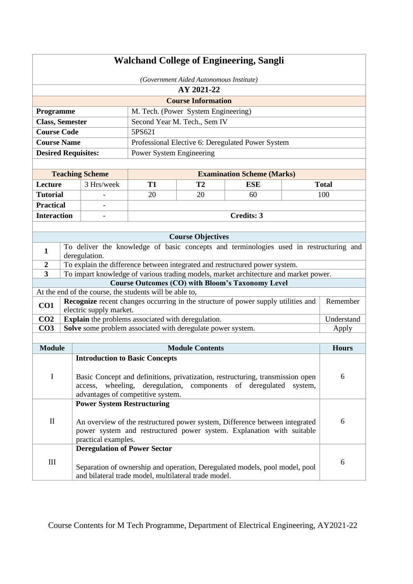| <b>Walchand College of Engineering, Sangli</b> |                                                                                                                                                                                                     |                                                                                                                                                                                                                       |                                                             |                                     |                                                                                        |  |              |  |
|------------------------------------------------|-----------------------------------------------------------------------------------------------------------------------------------------------------------------------------------------------------|-----------------------------------------------------------------------------------------------------------------------------------------------------------------------------------------------------------------------|-------------------------------------------------------------|-------------------------------------|----------------------------------------------------------------------------------------|--|--------------|--|
|                                                | (Government Aided Autonomous Institute)                                                                                                                                                             |                                                                                                                                                                                                                       |                                                             |                                     |                                                                                        |  |              |  |
|                                                |                                                                                                                                                                                                     |                                                                                                                                                                                                                       |                                                             | AY 2021-22                          |                                                                                        |  |              |  |
|                                                |                                                                                                                                                                                                     |                                                                                                                                                                                                                       |                                                             | <b>Course Information</b>           |                                                                                        |  |              |  |
| Programme                                      |                                                                                                                                                                                                     |                                                                                                                                                                                                                       |                                                             | M. Tech. (Power System Engineering) |                                                                                        |  |              |  |
| <b>Class, Semester</b><br><b>Course Code</b>   |                                                                                                                                                                                                     |                                                                                                                                                                                                                       | 5PS621                                                      | Second Year M. Tech., Sem IV        |                                                                                        |  |              |  |
| <b>Course Name</b>                             |                                                                                                                                                                                                     |                                                                                                                                                                                                                       |                                                             |                                     | Professional Elective 6: Deregulated Power System                                      |  |              |  |
| <b>Desired Requisites:</b>                     |                                                                                                                                                                                                     |                                                                                                                                                                                                                       | Power System Engineering                                    |                                     |                                                                                        |  |              |  |
|                                                |                                                                                                                                                                                                     |                                                                                                                                                                                                                       |                                                             |                                     |                                                                                        |  |              |  |
|                                                |                                                                                                                                                                                                     | <b>Teaching Scheme</b>                                                                                                                                                                                                |                                                             |                                     | <b>Examination Scheme (Marks)</b>                                                      |  |              |  |
| Lecture                                        |                                                                                                                                                                                                     | 3 Hrs/week                                                                                                                                                                                                            | <b>T1</b>                                                   | T <sub>2</sub>                      | <b>ESE</b>                                                                             |  | <b>Total</b> |  |
| <b>Tutorial</b>                                |                                                                                                                                                                                                     |                                                                                                                                                                                                                       | 20                                                          | 20                                  | 60                                                                                     |  | 100          |  |
| <b>Practical</b>                               |                                                                                                                                                                                                     |                                                                                                                                                                                                                       |                                                             |                                     |                                                                                        |  |              |  |
| <b>Interaction</b>                             |                                                                                                                                                                                                     |                                                                                                                                                                                                                       |                                                             |                                     | <b>Credits: 3</b>                                                                      |  |              |  |
|                                                |                                                                                                                                                                                                     |                                                                                                                                                                                                                       |                                                             |                                     |                                                                                        |  |              |  |
|                                                |                                                                                                                                                                                                     |                                                                                                                                                                                                                       |                                                             | <b>Course Objectives</b>            |                                                                                        |  |              |  |
| $\mathbf{1}$                                   |                                                                                                                                                                                                     | deregulation.                                                                                                                                                                                                         |                                                             |                                     | To deliver the knowledge of basic concepts and terminologies used in restructuring and |  |              |  |
| $\boldsymbol{2}$                               |                                                                                                                                                                                                     |                                                                                                                                                                                                                       |                                                             |                                     | To explain the difference between integrated and restructured power system.            |  |              |  |
| $\overline{\mathbf{3}}$                        |                                                                                                                                                                                                     |                                                                                                                                                                                                                       |                                                             |                                     | To impart knowledge of various trading models, market architecture and market power.   |  |              |  |
|                                                |                                                                                                                                                                                                     |                                                                                                                                                                                                                       |                                                             |                                     | <b>Course Outcomes (CO) with Bloom's Taxonomy Level</b>                                |  |              |  |
|                                                |                                                                                                                                                                                                     |                                                                                                                                                                                                                       | At the end of the course, the students will be able to,     |                                     |                                                                                        |  |              |  |
| CO1                                            |                                                                                                                                                                                                     | electric supply market.                                                                                                                                                                                               |                                                             |                                     | Recognize recent changes occurring in the structure of power supply utilities and      |  | Remember     |  |
| CO <sub>2</sub>                                |                                                                                                                                                                                                     |                                                                                                                                                                                                                       | Explain the problems associated with deregulation.          |                                     |                                                                                        |  | Understand   |  |
| CO <sub>3</sub>                                |                                                                                                                                                                                                     |                                                                                                                                                                                                                       | Solve some problem associated with deregulate power system. |                                     |                                                                                        |  | Apply        |  |
|                                                |                                                                                                                                                                                                     |                                                                                                                                                                                                                       |                                                             |                                     |                                                                                        |  |              |  |
| <b>Module</b>                                  |                                                                                                                                                                                                     |                                                                                                                                                                                                                       |                                                             | <b>Module Contents</b>              |                                                                                        |  | <b>Hours</b> |  |
|                                                |                                                                                                                                                                                                     |                                                                                                                                                                                                                       | <b>Introduction to Basic Concepts</b>                       |                                     |                                                                                        |  |              |  |
| $\mathbf I$                                    | 6<br>Basic Concept and definitions, privatization, restructuring, transmission open<br>deregulation, components of deregulated system,<br>wheeling,<br>access,<br>advantages of competitive system. |                                                                                                                                                                                                                       |                                                             |                                     |                                                                                        |  |              |  |
| $\rm II$                                       |                                                                                                                                                                                                     | <b>Power System Restructuring</b><br>6<br>An overview of the restructured power system, Difference between integrated<br>power system and restructured power system. Explanation with suitable<br>practical examples. |                                                             |                                     |                                                                                        |  |              |  |
| $\rm III$                                      |                                                                                                                                                                                                     | <b>Deregulation of Power Sector</b>                                                                                                                                                                                   | and bilateral trade model, multilateral trade model.        |                                     | Separation of ownership and operation, Deregulated models, pool model, pool            |  | 6            |  |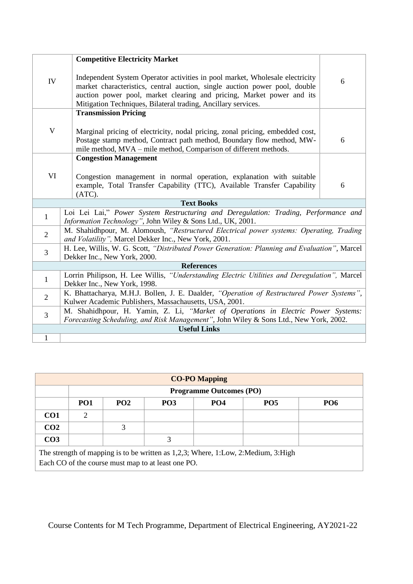|                | <b>Competitive Electricity Market</b>                                                                                                                                                                                                                                                                |   |  |  |  |  |
|----------------|------------------------------------------------------------------------------------------------------------------------------------------------------------------------------------------------------------------------------------------------------------------------------------------------------|---|--|--|--|--|
| IV             | Independent System Operator activities in pool market, Wholesale electricity<br>market characteristics, central auction, single auction power pool, double<br>auction power pool, market clearing and pricing, Market power and its<br>Mitigation Techniques, Bilateral trading, Ancillary services. |   |  |  |  |  |
|                | <b>Transmission Pricing</b>                                                                                                                                                                                                                                                                          |   |  |  |  |  |
| $\mathbf V$    | Marginal pricing of electricity, nodal pricing, zonal pricing, embedded cost,<br>Postage stamp method, Contract path method, Boundary flow method, MW-<br>mile method, MVA – mile method, Comparison of different methods.                                                                           | 6 |  |  |  |  |
|                | <b>Congestion Management</b>                                                                                                                                                                                                                                                                         |   |  |  |  |  |
| VI             | Congestion management in normal operation, explanation with suitable<br>example, Total Transfer Capability (TTC), Available Transfer Capability<br>(ATC).                                                                                                                                            | 6 |  |  |  |  |
|                | <b>Text Books</b>                                                                                                                                                                                                                                                                                    |   |  |  |  |  |
| $\mathbf{1}$   | Loi Lei Lai," Power System Restructuring and Deregulation: Trading, Performance and<br>Information Technology", John Wiley & Sons Ltd., UK, 2001.                                                                                                                                                    |   |  |  |  |  |
| $\overline{2}$ | M. Shahidhpour, M. Alomoush, "Restructured Electrical power systems: Operating, Trading<br>and Volatility", Marcel Dekker Inc., New York, 2001.                                                                                                                                                      |   |  |  |  |  |
| 3              | H. Lee, Willis, W. G. Scott, "Distributed Power Generation: Planning and Evaluation", Marcel<br>Dekker Inc., New York, 2000.                                                                                                                                                                         |   |  |  |  |  |
|                | <b>References</b>                                                                                                                                                                                                                                                                                    |   |  |  |  |  |
| $\mathbf{1}$   | Lorrin Philipson, H. Lee Willis, "Understanding Electric Utilities and Deregulation", Marcel<br>Dekker Inc., New York, 1998.                                                                                                                                                                         |   |  |  |  |  |
| $\overline{2}$ | K. Bhattacharya, M.H.J. Bollen, J. E. Daalder, "Operation of Restructured Power Systems",<br>Kulwer Academic Publishers, Massachausetts, USA, 2001.                                                                                                                                                  |   |  |  |  |  |
| 3              | M. Shahidhpour, H. Yamin, Z. Li, "Market of Operations in Electric Power Systems:<br>Forecasting Scheduling, and Risk Management", John Wiley & Sons Ltd., New York, 2002.                                                                                                                           |   |  |  |  |  |
|                | <b>Useful Links</b>                                                                                                                                                                                                                                                                                  |   |  |  |  |  |
| $\mathbf{1}$   |                                                                                                                                                                                                                                                                                                      |   |  |  |  |  |

| <b>CO-PO Mapping</b>                                                                                                                    |                                |                 |            |                 |                 |            |  |  |
|-----------------------------------------------------------------------------------------------------------------------------------------|--------------------------------|-----------------|------------|-----------------|-----------------|------------|--|--|
|                                                                                                                                         | <b>Programme Outcomes (PO)</b> |                 |            |                 |                 |            |  |  |
|                                                                                                                                         | PO <sub>1</sub>                | PO <sub>2</sub> | <b>PO3</b> | PO <sub>4</sub> | PO <sub>5</sub> | <b>PO6</b> |  |  |
| CO <sub>1</sub>                                                                                                                         | $\mathcal{D}_{\mathcal{L}}$    |                 |            |                 |                 |            |  |  |
| CO <sub>2</sub>                                                                                                                         |                                | 3               |            |                 |                 |            |  |  |
| CO <sub>3</sub>                                                                                                                         |                                |                 | 3          |                 |                 |            |  |  |
| The strength of mapping is to be written as 1,2,3; Where, 1:Low, 2:Medium, 3:High<br>Each CO of the course must map to at least one PO. |                                |                 |            |                 |                 |            |  |  |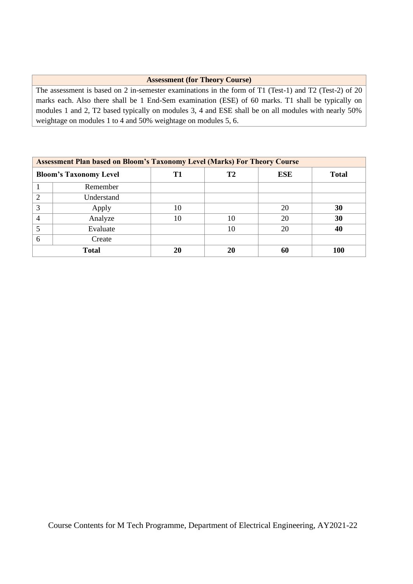## **Assessment (for Theory Course)**

The assessment is based on 2 in-semester examinations in the form of T1 (Test-1) and T2 (Test-2) of 20 marks each. Also there shall be 1 End-Sem examination (ESE) of 60 marks. T1 shall be typically on modules 1 and 2, T2 based typically on modules 3, 4 and ESE shall be on all modules with nearly 50% weightage on modules 1 to 4 and 50% weightage on modules 5, 6.

| <b>Assessment Plan based on Bloom's Taxonomy Level (Marks) For Theory Course</b> |              |    |    |            |              |  |  |  |
|----------------------------------------------------------------------------------|--------------|----|----|------------|--------------|--|--|--|
| <b>Bloom's Taxonomy Level</b>                                                    |              | T1 | T2 | <b>ESE</b> | <b>Total</b> |  |  |  |
|                                                                                  | Remember     |    |    |            |              |  |  |  |
| 2                                                                                | Understand   |    |    |            |              |  |  |  |
| 3                                                                                | Apply        | 10 |    | 20         | 30           |  |  |  |
| $\overline{4}$                                                                   | Analyze      | 10 | 10 | 20         | 30           |  |  |  |
|                                                                                  | Evaluate     |    | 10 | 20         | 40           |  |  |  |
| 6                                                                                | Create       |    |    |            |              |  |  |  |
|                                                                                  | <b>Total</b> | 20 | 20 | 60         | <b>100</b>   |  |  |  |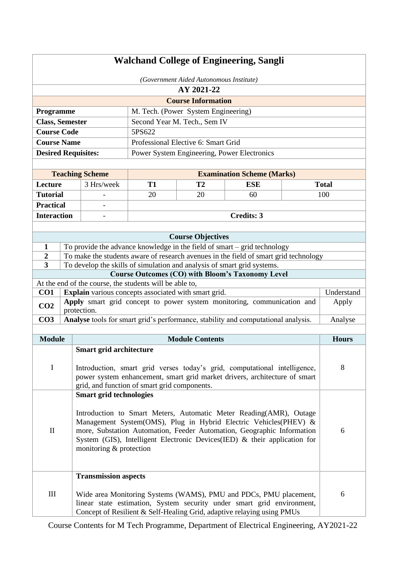| <b>Walchand College of Engineering, Sangli</b>                                                                                                                                                                                                                                                                                                                                  |                                                                                                                                                                 |                             |                                                         |                                     |                                                                                                                                                                                                                       |  |              |  |
|---------------------------------------------------------------------------------------------------------------------------------------------------------------------------------------------------------------------------------------------------------------------------------------------------------------------------------------------------------------------------------|-----------------------------------------------------------------------------------------------------------------------------------------------------------------|-----------------------------|---------------------------------------------------------|-------------------------------------|-----------------------------------------------------------------------------------------------------------------------------------------------------------------------------------------------------------------------|--|--------------|--|
|                                                                                                                                                                                                                                                                                                                                                                                 | (Government Aided Autonomous Institute)                                                                                                                         |                             |                                                         |                                     |                                                                                                                                                                                                                       |  |              |  |
|                                                                                                                                                                                                                                                                                                                                                                                 | AY 2021-22                                                                                                                                                      |                             |                                                         |                                     |                                                                                                                                                                                                                       |  |              |  |
|                                                                                                                                                                                                                                                                                                                                                                                 |                                                                                                                                                                 |                             |                                                         | <b>Course Information</b>           |                                                                                                                                                                                                                       |  |              |  |
| Programme                                                                                                                                                                                                                                                                                                                                                                       |                                                                                                                                                                 |                             |                                                         | M. Tech. (Power System Engineering) |                                                                                                                                                                                                                       |  |              |  |
| <b>Class, Semester</b>                                                                                                                                                                                                                                                                                                                                                          |                                                                                                                                                                 |                             |                                                         | Second Year M. Tech., Sem IV        |                                                                                                                                                                                                                       |  |              |  |
| <b>Course Code</b>                                                                                                                                                                                                                                                                                                                                                              |                                                                                                                                                                 |                             | 5PS622                                                  |                                     |                                                                                                                                                                                                                       |  |              |  |
| <b>Course Name</b>                                                                                                                                                                                                                                                                                                                                                              |                                                                                                                                                                 |                             |                                                         | Professional Elective 6: Smart Grid |                                                                                                                                                                                                                       |  |              |  |
| <b>Desired Requisites:</b>                                                                                                                                                                                                                                                                                                                                                      |                                                                                                                                                                 |                             |                                                         |                                     | Power System Engineering, Power Electronics                                                                                                                                                                           |  |              |  |
|                                                                                                                                                                                                                                                                                                                                                                                 |                                                                                                                                                                 |                             |                                                         |                                     |                                                                                                                                                                                                                       |  |              |  |
|                                                                                                                                                                                                                                                                                                                                                                                 |                                                                                                                                                                 | <b>Teaching Scheme</b>      |                                                         |                                     | <b>Examination Scheme (Marks)</b>                                                                                                                                                                                     |  |              |  |
| Lecture                                                                                                                                                                                                                                                                                                                                                                         |                                                                                                                                                                 | 3 Hrs/week                  | <b>T1</b>                                               | T2                                  | <b>ESE</b>                                                                                                                                                                                                            |  | <b>Total</b> |  |
| <b>Tutorial</b>                                                                                                                                                                                                                                                                                                                                                                 |                                                                                                                                                                 |                             | 20                                                      | 20                                  | 60                                                                                                                                                                                                                    |  | 100          |  |
| <b>Practical</b>                                                                                                                                                                                                                                                                                                                                                                |                                                                                                                                                                 |                             |                                                         |                                     |                                                                                                                                                                                                                       |  |              |  |
| <b>Interaction</b>                                                                                                                                                                                                                                                                                                                                                              |                                                                                                                                                                 |                             |                                                         |                                     | <b>Credits: 3</b>                                                                                                                                                                                                     |  |              |  |
|                                                                                                                                                                                                                                                                                                                                                                                 |                                                                                                                                                                 |                             |                                                         |                                     |                                                                                                                                                                                                                       |  |              |  |
|                                                                                                                                                                                                                                                                                                                                                                                 |                                                                                                                                                                 |                             |                                                         | <b>Course Objectives</b>            |                                                                                                                                                                                                                       |  |              |  |
| $\mathbf{1}$<br>2                                                                                                                                                                                                                                                                                                                                                               |                                                                                                                                                                 |                             |                                                         |                                     | To provide the advance knowledge in the field of smart $-$ grid technology                                                                                                                                            |  |              |  |
| $\overline{\mathbf{3}}$                                                                                                                                                                                                                                                                                                                                                         | To make the students aware of research avenues in the field of smart grid technology<br>To develop the skills of simulation and analysis of smart grid systems. |                             |                                                         |                                     |                                                                                                                                                                                                                       |  |              |  |
|                                                                                                                                                                                                                                                                                                                                                                                 |                                                                                                                                                                 |                             |                                                         |                                     | <b>Course Outcomes (CO) with Bloom's Taxonomy Level</b>                                                                                                                                                               |  |              |  |
|                                                                                                                                                                                                                                                                                                                                                                                 |                                                                                                                                                                 |                             | At the end of the course, the students will be able to, |                                     |                                                                                                                                                                                                                       |  |              |  |
| CO <sub>1</sub>                                                                                                                                                                                                                                                                                                                                                                 |                                                                                                                                                                 |                             | Explain various concepts associated with smart grid.    |                                     |                                                                                                                                                                                                                       |  | Understand   |  |
| CO <sub>2</sub>                                                                                                                                                                                                                                                                                                                                                                 |                                                                                                                                                                 | protection.                 |                                                         |                                     | Apply smart grid concept to power system monitoring, communication and                                                                                                                                                |  | Apply        |  |
| CO <sub>3</sub>                                                                                                                                                                                                                                                                                                                                                                 |                                                                                                                                                                 |                             |                                                         |                                     | Analyse tools for smart grid's performance, stability and computational analysis.                                                                                                                                     |  | Analyse      |  |
|                                                                                                                                                                                                                                                                                                                                                                                 |                                                                                                                                                                 |                             |                                                         |                                     |                                                                                                                                                                                                                       |  |              |  |
| <b>Module</b>                                                                                                                                                                                                                                                                                                                                                                   |                                                                                                                                                                 |                             |                                                         | <b>Module Contents</b>              |                                                                                                                                                                                                                       |  | <b>Hours</b> |  |
| $\mathbf I$                                                                                                                                                                                                                                                                                                                                                                     |                                                                                                                                                                 | Smart grid architecture     | grid, and function of smart grid components.            |                                     | Introduction, smart grid verses today's grid, computational intelligence,<br>power system enhancement, smart grid market drivers, architecture of smart                                                               |  | 8            |  |
| <b>Smart grid technologies</b><br>Introduction to Smart Meters, Automatic Meter Reading(AMR), Outage<br>Management System(OMS), Plug in Hybrid Electric Vehicles(PHEV) &<br>$\mathbf{I}$<br>more, Substation Automation, Feeder Automation, Geographic Information<br>6<br>System (GIS), Intelligent Electronic Devices(IED) & their application for<br>monitoring & protection |                                                                                                                                                                 |                             |                                                         |                                     |                                                                                                                                                                                                                       |  |              |  |
| Ш                                                                                                                                                                                                                                                                                                                                                                               |                                                                                                                                                                 | <b>Transmission aspects</b> |                                                         |                                     | Wide area Monitoring Systems (WAMS), PMU and PDCs, PMU placement,<br>linear state estimation, System security under smart grid environment,<br>Concept of Resilient & Self-Healing Grid, adaptive relaying using PMUs |  | 6            |  |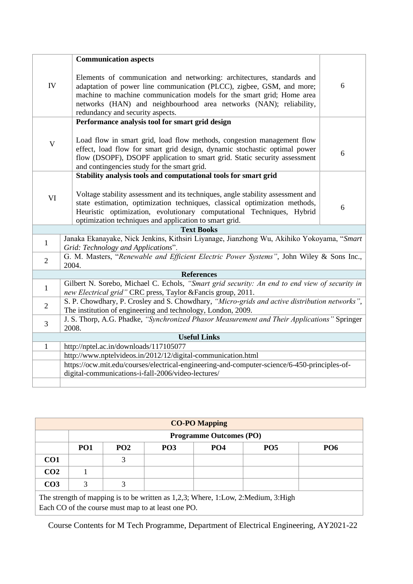|                | <b>Communication aspects</b>                                                                                                                                                                                                                                                                                                       |   |  |  |  |  |
|----------------|------------------------------------------------------------------------------------------------------------------------------------------------------------------------------------------------------------------------------------------------------------------------------------------------------------------------------------|---|--|--|--|--|
| ${\rm IV}$     | Elements of communication and networking: architectures, standards and<br>adaptation of power line communication (PLCC), zigbee, GSM, and more;<br>machine to machine communication models for the smart grid; Home area<br>networks (HAN) and neighbourhood area networks (NAN); reliability,<br>redundancy and security aspects. | 6 |  |  |  |  |
|                | Performance analysis tool for smart grid design                                                                                                                                                                                                                                                                                    |   |  |  |  |  |
| $\mathbf V$    | Load flow in smart grid, load flow methods, congestion management flow<br>effect, load flow for smart grid design, dynamic stochastic optimal power<br>flow (DSOPF), DSOPF application to smart grid. Static security assessment<br>and contingencies study for the smart grid.                                                    | 6 |  |  |  |  |
|                | Stability analysis tools and computational tools for smart grid                                                                                                                                                                                                                                                                    |   |  |  |  |  |
| VI             | Voltage stability assessment and its techniques, angle stability assessment and<br>state estimation, optimization techniques, classical optimization methods,<br>Heuristic optimization, evolutionary computational Techniques, Hybrid<br>optimization techniques and application to smart grid.                                   | 6 |  |  |  |  |
|                | <b>Text Books</b>                                                                                                                                                                                                                                                                                                                  |   |  |  |  |  |
| $\mathbf{1}$   | Janaka Ekanayake, Nick Jenkins, Kithsiri Liyanage, Jianzhong Wu, Akihiko Yokoyama, "Smart<br>Grid: Technology and Applications".                                                                                                                                                                                                   |   |  |  |  |  |
| $\overline{2}$ | G. M. Masters, "Renewable and Efficient Electric Power Systems", John Wiley & Sons Inc.,<br>2004.                                                                                                                                                                                                                                  |   |  |  |  |  |
|                | <b>References</b>                                                                                                                                                                                                                                                                                                                  |   |  |  |  |  |
| $\mathbf{1}$   | Gilbert N. Sorebo, Michael C. Echols, "Smart grid security: An end to end view of security in<br>new Electrical grid" CRC press, Taylor & Fancis group, 2011.                                                                                                                                                                      |   |  |  |  |  |
| $\overline{2}$ | S. P. Chowdhary, P. Crosley and S. Chowdhary, "Micro-grids and active distribution networks",<br>The institution of engineering and technology, London, 2009.                                                                                                                                                                      |   |  |  |  |  |
| 3              | J. S. Thorp, A.G. Phadke, "Synchronized Phasor Measurement and Their Applications" Springer<br>2008.                                                                                                                                                                                                                               |   |  |  |  |  |
|                | <b>Useful Links</b>                                                                                                                                                                                                                                                                                                                |   |  |  |  |  |
| $\mathbf{1}$   | http://nptel.ac.in/downloads/117105077                                                                                                                                                                                                                                                                                             |   |  |  |  |  |
|                | http://www.nptelvideos.in/2012/12/digital-communication.html                                                                                                                                                                                                                                                                       |   |  |  |  |  |
|                | https://ocw.mit.edu/courses/electrical-engineering-and-computer-science/6-450-principles-of-                                                                                                                                                                                                                                       |   |  |  |  |  |
|                | digital-communications-i-fall-2006/video-lectures/                                                                                                                                                                                                                                                                                 |   |  |  |  |  |
|                |                                                                                                                                                                                                                                                                                                                                    |   |  |  |  |  |

| <b>CO-PO Mapping</b>                                                                                                                    |                                |                 |                 |                 |                 |                 |  |  |
|-----------------------------------------------------------------------------------------------------------------------------------------|--------------------------------|-----------------|-----------------|-----------------|-----------------|-----------------|--|--|
|                                                                                                                                         | <b>Programme Outcomes (PO)</b> |                 |                 |                 |                 |                 |  |  |
|                                                                                                                                         | <b>PO1</b>                     | PO <sub>2</sub> | PO <sub>3</sub> | PO <sub>4</sub> | PO <sub>5</sub> | PO <sub>6</sub> |  |  |
| CO <sub>1</sub>                                                                                                                         |                                | 3               |                 |                 |                 |                 |  |  |
| CO <sub>2</sub>                                                                                                                         |                                |                 |                 |                 |                 |                 |  |  |
| CO <sub>3</sub>                                                                                                                         | 3                              | 3               |                 |                 |                 |                 |  |  |
| The strength of mapping is to be written as 1,2,3; Where, 1:Low, 2:Medium, 3:High<br>Each CO of the course must map to at least one PO. |                                |                 |                 |                 |                 |                 |  |  |